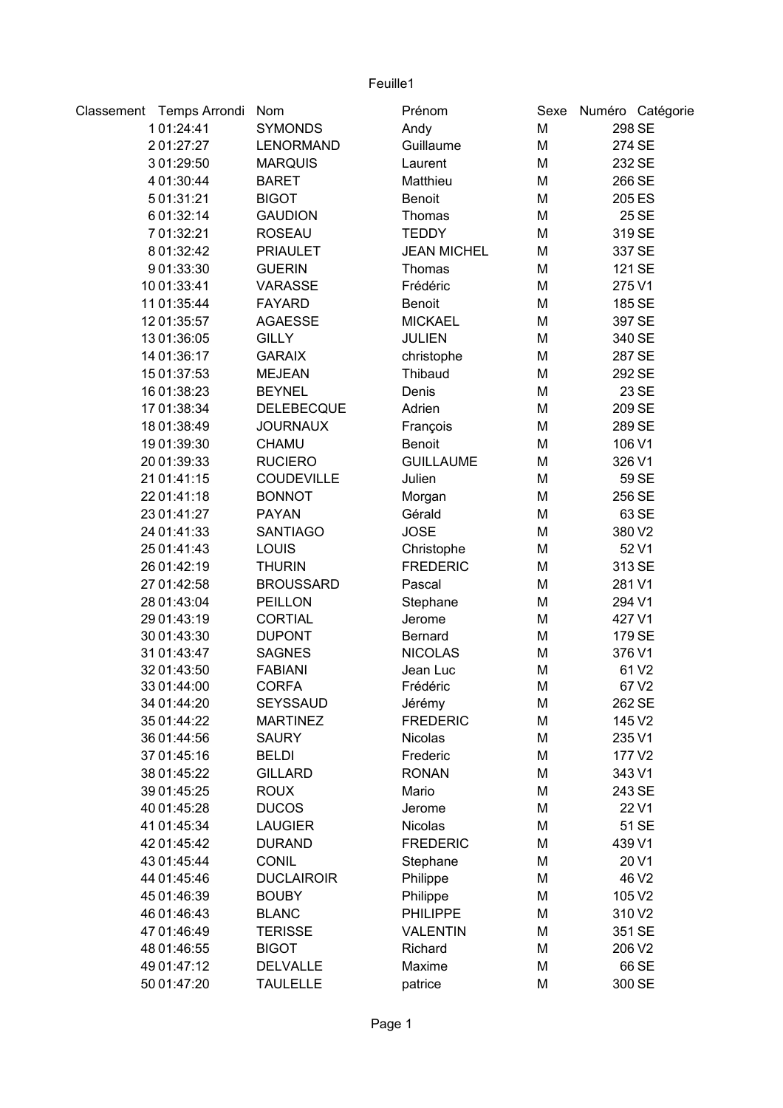| Classement Temps Arrondi | Nom               | Prénom             | Sexe |        | Numéro Catégorie |
|--------------------------|-------------------|--------------------|------|--------|------------------|
| 101:24:41                | <b>SYMONDS</b>    | Andy               | M    |        | 298 SE           |
| 201:27:27                | <b>LENORMAND</b>  | Guillaume          | M    |        | 274 SE           |
| 301:29:50                | <b>MARQUIS</b>    | Laurent            | M    |        | 232 SE           |
| 4 01:30:44               | <b>BARET</b>      | Matthieu           | M    |        | 266 SE           |
| 501:31:21                | <b>BIGOT</b>      | <b>Benoit</b>      | M    |        | 205 ES           |
| 6 01:32:14               | <b>GAUDION</b>    | Thomas             | M    |        | 25 SE            |
| 7 01:32:21               | <b>ROSEAU</b>     | <b>TEDDY</b>       | M    |        | 319 SE           |
| 8 01:32:42               | <b>PRIAULET</b>   | <b>JEAN MICHEL</b> | M    |        | 337 SE           |
| 901:33:30                | <b>GUERIN</b>     | Thomas             | M    |        | 121 SE           |
| 10 01:33:41              | <b>VARASSE</b>    | Frédéric           | M    | 275 V1 |                  |
| 11 01:35:44              | <b>FAYARD</b>     | Benoit             | M    |        | 185 SE           |
| 12 01:35:57              | <b>AGAESSE</b>    | <b>MICKAEL</b>     | M    |        | 397 SE           |
| 13 01:36:05              | <b>GILLY</b>      | <b>JULIEN</b>      | M    |        | 340 SE           |
| 14 01:36:17              | <b>GARAIX</b>     | christophe         | M    |        | 287 SE           |
| 15 01:37:53              | <b>MEJEAN</b>     | Thibaud            | M    |        | 292 SE           |
| 16 01:38:23              | <b>BEYNEL</b>     | Denis              | M    |        | 23 SE            |
| 17 01:38:34              | <b>DELEBECQUE</b> | Adrien             | M    |        | 209 SE           |
| 18 01:38:49              | <b>JOURNAUX</b>   | François           | M    |        | 289 SE           |
| 19 01:39:30              | <b>CHAMU</b>      | <b>Benoit</b>      | M    | 106 V1 |                  |
| 20 01:39:33              | <b>RUCIERO</b>    | <b>GUILLAUME</b>   | M    | 326 V1 |                  |
| 21 01:41:15              | <b>COUDEVILLE</b> | Julien             | M    |        | 59 SE            |
| 22 01:41:18              | <b>BONNOT</b>     | Morgan             | M    |        | 256 SE           |
| 23 01:41:27              | <b>PAYAN</b>      | Gérald             | M    |        | 63 SE            |
| 24 01:41:33              | <b>SANTIAGO</b>   | <b>JOSE</b>        | M    | 380 V2 |                  |
| 25 01:41:43              | <b>LOUIS</b>      | Christophe         | M    |        | 52 V1            |
| 26 01:42:19              | <b>THURIN</b>     | <b>FREDERIC</b>    | M    |        | 313 SE           |
| 27 01:42:58              | <b>BROUSSARD</b>  | Pascal             | M    | 281 V1 |                  |
| 28 01:43:04              | PEILLON           | Stephane           | M    | 294 V1 |                  |
| 29 01:43:19              | <b>CORTIAL</b>    | Jerome             | M    | 427 V1 |                  |
| 30 01:43:30              | <b>DUPONT</b>     | <b>Bernard</b>     | M    | 179 SE |                  |
| 31 01:43:47              | <b>SAGNES</b>     | <b>NICOLAS</b>     | M    | 376 V1 |                  |
| 32 01:43:50              | <b>FABIANI</b>    | Jean Luc           | M    |        | 61 V2            |
| 33 01:44:00              | <b>CORFA</b>      | Frédéric           | M    |        | 67 V2            |
| 34 01:44:20              | <b>SEYSSAUD</b>   | Jérémy             | M    | 262 SE |                  |
| 35 01:44:22              | <b>MARTINEZ</b>   | <b>FREDERIC</b>    | M    | 145 V2 |                  |
| 36 01:44:56              | <b>SAURY</b>      | <b>Nicolas</b>     | M    | 235 V1 |                  |
| 37 01:45:16              | <b>BELDI</b>      | Frederic           | M    | 177 V2 |                  |
| 38 01:45:22              | <b>GILLARD</b>    | <b>RONAN</b>       | M    | 343 V1 |                  |
| 39 01:45:25              | <b>ROUX</b>       | Mario              | M    | 243 SE |                  |
| 40 01:45:28              | <b>DUCOS</b>      | Jerome             | M    |        | 22 V1            |
| 41 01:45:34              | <b>LAUGIER</b>    | Nicolas            | M    |        | 51 SE            |
| 42 01:45:42              | <b>DURAND</b>     | <b>FREDERIC</b>    | M    | 439 V1 |                  |
| 43 01:45:44              | <b>CONIL</b>      | Stephane           | M    |        | 20 V1            |
| 44 01:45:46              | <b>DUCLAIROIR</b> | Philippe           | M    |        | 46 V2            |
| 45 01:46:39              | <b>BOUBY</b>      | Philippe           | M    | 105 V2 |                  |
| 46 01:46:43              | <b>BLANC</b>      | <b>PHILIPPE</b>    | M    | 310 V2 |                  |
| 47 01:46:49              | <b>TERISSE</b>    | <b>VALENTIN</b>    | M    | 351 SE |                  |
| 48 01:46:55              | <b>BIGOT</b>      | Richard            | M    | 206 V2 |                  |
| 49 01:47:12              | <b>DELVALLE</b>   | Maxime             | M    |        | 66 SE            |
|                          |                   |                    |      |        |                  |
| 50 01:47:20              | <b>TAULELLE</b>   | patrice            | M    |        | 300 SE           |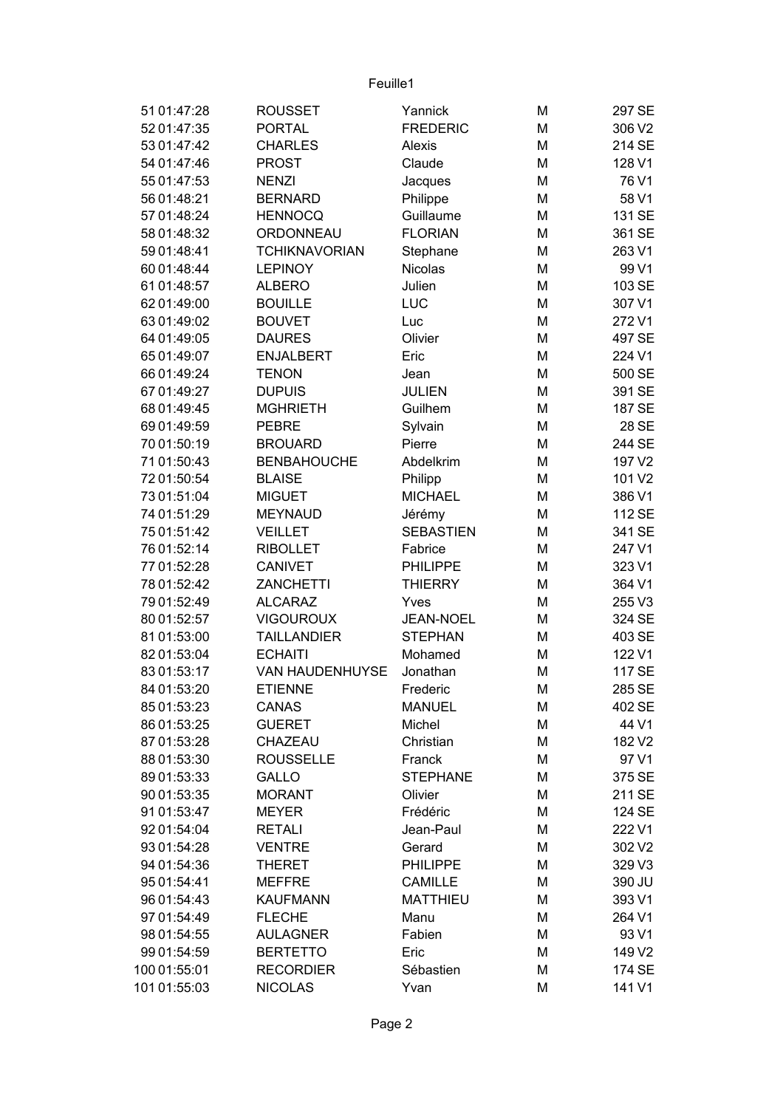| 51 01:47:28  | <b>ROUSSET</b>       | Yannick                   | M | 297 SE |
|--------------|----------------------|---------------------------|---|--------|
| 52 01:47:35  | <b>PORTAL</b>        | <b>FREDERIC</b>           | M | 306 V2 |
| 53 01:47:42  | <b>CHARLES</b>       | Alexis                    | M | 214 SE |
| 54 01:47:46  | <b>PROST</b>         | Claude                    | M | 128 V1 |
| 55 01:47:53  | <b>NENZI</b>         | Jacques                   | M | 76 V1  |
| 56 01:48:21  | <b>BERNARD</b>       | Philippe                  | M | 58 V1  |
| 57 01:48:24  | <b>HENNOCQ</b>       | Guillaume                 | M | 131 SE |
| 58 01:48:32  | ORDONNEAU            | <b>FLORIAN</b>            | M | 361 SE |
| 59 01:48:41  | <b>TCHIKNAVORIAN</b> | Stephane                  | M | 263 V1 |
| 60 01:48:44  | <b>LEPINOY</b>       | <b>Nicolas</b>            | M | 99 V1  |
| 61 01:48:57  | <b>ALBERO</b>        | Julien                    | M | 103 SE |
| 62 01:49:00  | <b>BOUILLE</b>       | LUC                       | M | 307 V1 |
| 63 01:49:02  | <b>BOUVET</b>        | Luc                       | M | 272V1  |
| 64 01:49:05  | <b>DAURES</b>        | Olivier                   | M | 497 SE |
| 65 01:49:07  | <b>ENJALBERT</b>     | Eric                      | M | 224 V1 |
| 66 01:49:24  | <b>TENON</b>         | Jean                      | M | 500 SE |
| 67 01:49:27  | <b>DUPUIS</b>        | <b>JULIEN</b>             | M | 391 SE |
| 68 01:49:45  | <b>MGHRIETH</b>      | Guilhem                   | M | 187 SE |
| 69 01:49:59  | <b>PEBRE</b>         | Sylvain                   | M | 28 SE  |
| 70 01:50:19  | <b>BROUARD</b>       | Pierre                    | M | 244 SE |
| 71 01:50:43  | <b>BENBAHOUCHE</b>   | Abdelkrim                 | M | 197 V2 |
| 72 01:50:54  | <b>BLAISE</b>        |                           | M | 101 V2 |
| 73 01:51:04  | <b>MIGUET</b>        | Philipp<br><b>MICHAEL</b> | M | 386 V1 |
| 74 01:51:29  | <b>MEYNAUD</b>       | Jérémy                    | M | 112 SE |
| 75 01:51:42  | <b>VEILLET</b>       | <b>SEBASTIEN</b>          | M | 341 SE |
| 76 01:52:14  | <b>RIBOLLET</b>      | Fabrice                   | M | 247 V1 |
| 77 01:52:28  | <b>CANIVET</b>       | <b>PHILIPPE</b>           | M | 323 V1 |
| 78 01:52:42  | <b>ZANCHETTI</b>     | <b>THIERRY</b>            | M | 364 V1 |
| 79 01:52:49  | <b>ALCARAZ</b>       | Yves                      | M | 255 V3 |
| 80 01:52:57  | <b>VIGOUROUX</b>     | <b>JEAN-NOEL</b>          | M | 324 SE |
| 81 01:53:00  | <b>TAILLANDIER</b>   | <b>STEPHAN</b>            | M | 403 SE |
| 82 01:53:04  | <b>ECHAITI</b>       | Mohamed                   | M | 122 V1 |
| 83 01:53:17  | VAN HAUDENHUYSE      | Jonathan                  | M | 117 SE |
| 84 01:53:20  | <b>ETIENNE</b>       | Frederic                  | M | 285 SE |
| 85 01:53:23  | CANAS                | <b>MANUEL</b>             | M | 402 SE |
| 86 01:53:25  | <b>GUERET</b>        | Michel                    | M | 44 V1  |
| 87 01:53:28  | CHAZEAU              | Christian                 | M | 182 V2 |
| 88 01:53:30  | <b>ROUSSELLE</b>     | Franck                    | M | 97 V1  |
| 89 01:53:33  | <b>GALLO</b>         | <b>STEPHANE</b>           | M | 375 SE |
| 90 01:53:35  | <b>MORANT</b>        | Olivier                   | M | 211 SE |
| 91 01:53:47  | <b>MEYER</b>         | Frédéric                  | M | 124 SE |
| 92 01:54:04  | <b>RETALI</b>        | Jean-Paul                 | M | 222 V1 |
| 93 01:54:28  | <b>VENTRE</b>        | Gerard                    | M | 302 V2 |
| 94 01:54:36  | <b>THERET</b>        | PHILIPPE                  | M | 329 V3 |
| 95 01:54:41  | <b>MEFFRE</b>        | <b>CAMILLE</b>            | M | 390 JU |
| 96 01:54:43  | <b>KAUFMANN</b>      | <b>MATTHIEU</b>           | M | 393 V1 |
| 97 01:54:49  | <b>FLECHE</b>        | Manu                      | M | 264 V1 |
| 98 01:54:55  | <b>AULAGNER</b>      | Fabien                    | M | 93 V1  |
| 99 01:54:59  | <b>BERTETTO</b>      | Eric                      | M | 149 V2 |
| 100 01:55:01 | <b>RECORDIER</b>     | Sébastien                 | M | 174 SE |
| 101 01:55:03 | <b>NICOLAS</b>       | Yvan                      | M | 141 V1 |
|              |                      |                           |   |        |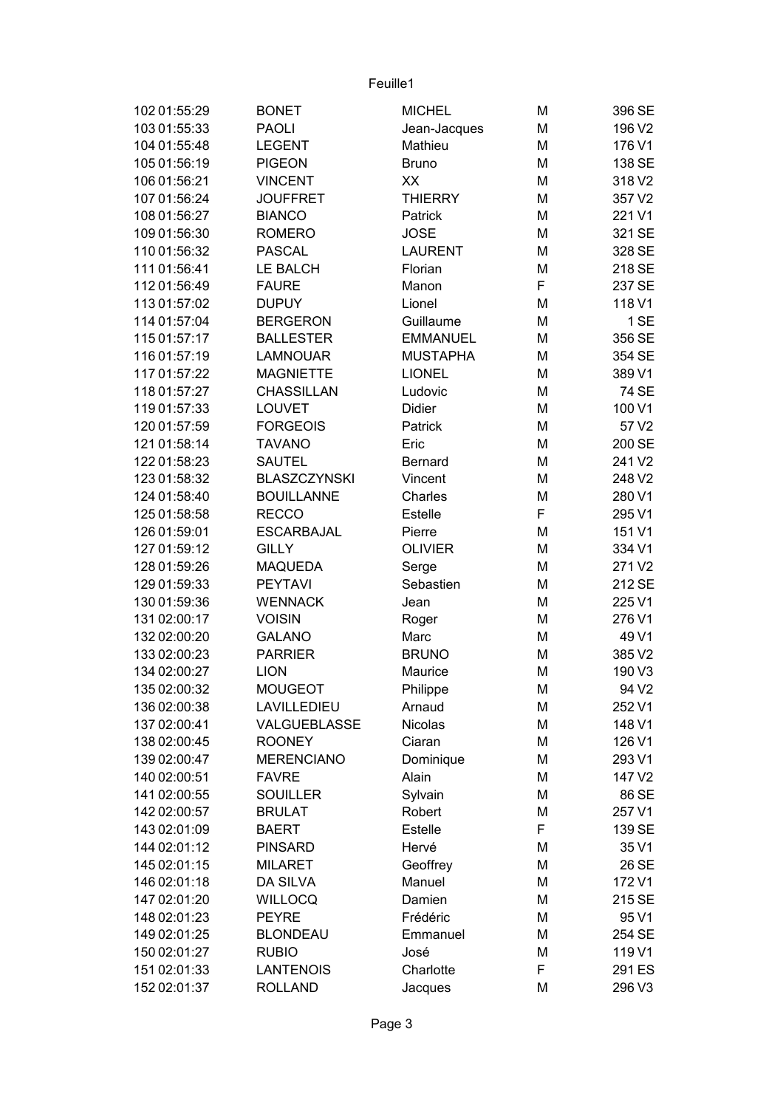| 102 01:55:29 | <b>BONET</b>        | <b>MICHEL</b>    | M | 396 SE            |
|--------------|---------------------|------------------|---|-------------------|
| 103 01:55:33 | <b>PAOLI</b>        | Jean-Jacques     | M | 196 V2            |
| 104 01:55:48 | <b>LEGENT</b>       | Mathieu          | M | 176 V1            |
| 105 01:56:19 | <b>PIGEON</b>       | <b>Bruno</b>     | M | 138 SE            |
| 106 01:56:21 | <b>VINCENT</b>      | XX               | M | 318 V2            |
| 107 01:56:24 | <b>JOUFFRET</b>     | <b>THIERRY</b>   | M | 357 V2            |
| 108 01:56:27 | <b>BIANCO</b>       | Patrick          | M | 221 V1            |
| 109 01:56:30 | <b>ROMERO</b>       | <b>JOSE</b>      | M | 321 SE            |
| 110 01:56:32 | <b>PASCAL</b>       | <b>LAURENT</b>   | M | 328 SE            |
| 111 01:56:41 | <b>LE BALCH</b>     | Florian          | M | 218 SE            |
| 112 01:56:49 | <b>FAURE</b>        | Manon            | F | 237 SE            |
| 113 01:57:02 | <b>DUPUY</b>        | Lionel           | M | 118 V1            |
| 114 01:57:04 | <b>BERGERON</b>     | Guillaume        | M | 1 SE              |
| 115 01:57:17 | <b>BALLESTER</b>    | <b>EMMANUEL</b>  | M | 356 SE            |
| 116 01:57:19 | <b>LAMNOUAR</b>     | <b>MUSTAPHA</b>  | M | 354 SE            |
| 117 01:57:22 | <b>MAGNIETTE</b>    | <b>LIONEL</b>    | M | 389 V1            |
| 118 01:57:27 | CHASSILLAN          | Ludovic          | M | 74 SE             |
| 119 01:57:33 | <b>LOUVET</b>       | Didier           | M | 100 V1            |
| 120 01:57:59 | <b>FORGEOIS</b>     | Patrick          | M | 57 V2             |
| 121 01:58:14 | <b>TAVANO</b>       | Eric             | M | 200 SE            |
| 122 01:58:23 | <b>SAUTEL</b>       | <b>Bernard</b>   | M | 241 V2            |
| 123 01:58:32 | <b>BLASZCZYNSKI</b> | Vincent          | M | 248 V2            |
| 124 01:58:40 | <b>BOUILLANNE</b>   | Charles          | M | 280 V1            |
| 125 01:58:58 | <b>RECCO</b>        | Estelle          | F | 295 V1            |
| 126 01:59:01 | <b>ESCARBAJAL</b>   | Pierre           | M | 151 V1            |
| 127 01:59:12 | <b>GILLY</b>        | <b>OLIVIER</b>   | M | 334 V1            |
| 128 01:59:26 | <b>MAQUEDA</b>      | Serge            | M | 271 V2            |
| 129 01:59:33 | <b>PEYTAVI</b>      | Sebastien        | M | 212 SE            |
| 130 01:59:36 | <b>WENNACK</b>      | Jean             | M | 225 V1            |
| 131 02:00:17 | <b>VOISIN</b>       | Roger            | M | 276 V1            |
| 132 02:00:20 | <b>GALANO</b>       | Marc             | M | 49 V1             |
| 133 02:00:23 | <b>PARRIER</b>      | <b>BRUNO</b>     | M | 385 V2            |
| 134 02:00:27 | <b>LION</b>         | Maurice          | M | 190 V3            |
| 135 02:00:32 | <b>MOUGEOT</b>      | Philippe         | М | 94 V <sub>2</sub> |
| 136 02:00:38 | LAVILLEDIEU         | Arnaud           | M | 252 V1            |
| 137 02:00:41 | VALGUEBLASSE        | Nicolas          | M | 148 V1            |
| 138 02:00:45 | <b>ROONEY</b>       | Ciaran           | М | 126 V1            |
| 139 02:00:47 | <b>MERENCIANO</b>   | Dominique        | М | 293 V1            |
| 140 02:00:51 | <b>FAVRE</b>        | Alain            | M | 147 V2            |
| 141 02:00:55 | <b>SOUILLER</b>     | Sylvain          | M | 86 SE             |
| 142 02:00:57 | <b>BRULAT</b>       | Robert           | М | 257 V1            |
| 143 02:01:09 | <b>BAERT</b>        | Estelle          | F | 139 SE            |
| 144 02:01:12 | <b>PINSARD</b>      | Hervé            | M | 35 V1             |
| 145 02:01:15 | <b>MILARET</b>      | Geoffrey         | M | 26 SE             |
| 146 02:01:18 | DA SILVA            | Manuel           | M | 172 V1            |
| 147 02:01:20 | <b>WILLOCQ</b>      | Damien           | М | 215 SE            |
| 148 02:01:23 | <b>PEYRE</b>        | Frédéric         | М | 95 V1             |
| 149 02:01:25 | <b>BLONDEAU</b>     |                  | M |                   |
| 150 02:01:27 | <b>RUBIO</b>        | Emmanuel<br>José | М | 254 SE<br>119 V1  |
| 151 02:01:33 |                     |                  | F |                   |
|              | <b>LANTENOIS</b>    | Charlotte        |   | 291 ES            |
| 152 02:01:37 | <b>ROLLAND</b>      | Jacques          | М | 296 V3            |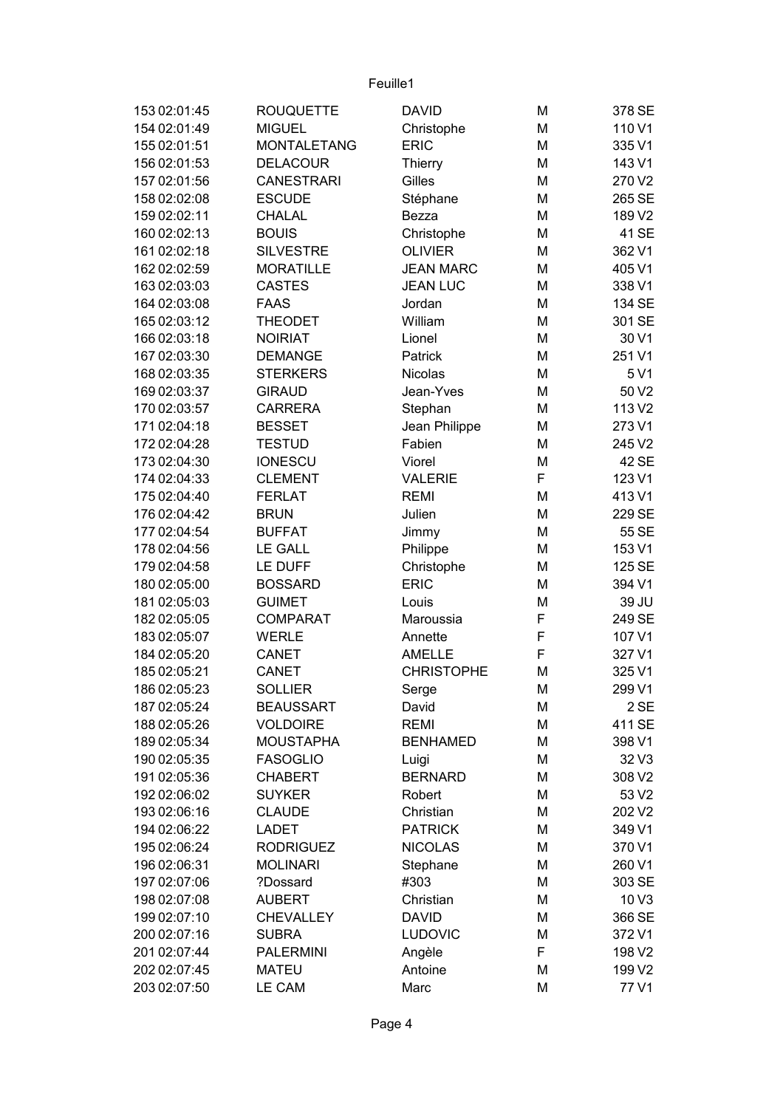| 153 02:01:45 | <b>ROUQUETTE</b>   | <b>DAVID</b>      | M | 378 SE           |
|--------------|--------------------|-------------------|---|------------------|
| 154 02:01:49 | <b>MIGUEL</b>      | Christophe        | M | 110 V1           |
| 155 02:01:51 | <b>MONTALETANG</b> | <b>ERIC</b>       | M | 335 V1           |
| 156 02:01:53 | <b>DELACOUR</b>    | <b>Thierry</b>    | M | 143 V1           |
| 157 02:01:56 | <b>CANESTRARI</b>  | Gilles            | M | 270 V2           |
| 158 02:02:08 | <b>ESCUDE</b>      | Stéphane          | M | 265 SE           |
| 159 02:02:11 | <b>CHALAL</b>      | Bezza             | M | 189 V2           |
| 160 02:02:13 | <b>BOUIS</b>       | Christophe        | M | 41 SE            |
| 161 02:02:18 | <b>SILVESTRE</b>   | <b>OLIVIER</b>    | M | 362 V1           |
| 162 02:02:59 | <b>MORATILLE</b>   | <b>JEAN MARC</b>  | M | 405 V1           |
| 163 02:03:03 | <b>CASTES</b>      | <b>JEAN LUC</b>   | M | 338 V1           |
| 164 02:03:08 | <b>FAAS</b>        | Jordan            | M | 134 SE           |
| 165 02:03:12 | <b>THEODET</b>     | William           | M | 301 SE           |
| 166 02:03:18 | <b>NOIRIAT</b>     | Lionel            | M | 30 V1            |
| 167 02:03:30 | <b>DEMANGE</b>     | Patrick           | M | 251 V1           |
| 168 02:03:35 | <b>STERKERS</b>    | <b>Nicolas</b>    | M | 5 V1             |
| 169 02:03:37 | <b>GIRAUD</b>      | Jean-Yves         | M | 50 V2            |
| 170 02:03:57 | <b>CARRERA</b>     | Stephan           | M | 113 V2           |
| 171 02:04:18 | <b>BESSET</b>      | Jean Philippe     | M | 273 V1           |
| 172 02:04:28 | <b>TESTUD</b>      | Fabien            | M | 245 V2           |
| 173 02:04:30 | <b>IONESCU</b>     | Viorel            | M | 42 SE            |
| 174 02:04:33 | <b>CLEMENT</b>     | <b>VALERIE</b>    | F | 123 V1           |
| 175 02:04:40 | <b>FERLAT</b>      | <b>REMI</b>       | M | 413 V1           |
| 176 02:04:42 | <b>BRUN</b>        | Julien            | M | 229 SE           |
| 177 02:04:54 | <b>BUFFAT</b>      | Jimmy             | M | 55 SE            |
| 178 02:04:56 | <b>LE GALL</b>     | Philippe          | M | 153 V1           |
| 179 02:04:58 | LE DUFF            | Christophe        | M | 125 SE           |
| 180 02:05:00 | <b>BOSSARD</b>     | <b>ERIC</b>       | M | 394 V1           |
| 181 02:05:03 | <b>GUIMET</b>      | Louis             | M | 39 JU            |
| 182 02:05:05 | <b>COMPARAT</b>    | Maroussia         | F | 249 SE           |
| 183 02:05:07 | <b>WERLE</b>       | Annette           | F | 107 V1           |
| 184 02:05:20 | <b>CANET</b>       | <b>AMELLE</b>     | F | 327 V1           |
| 185 02:05:21 | <b>CANET</b>       | <b>CHRISTOPHE</b> | M | 325 V1           |
| 186 02:05:23 | <b>SOLLIER</b>     | Serge             | M | 299 V1           |
| 187 02:05:24 | <b>BEAUSSART</b>   | David             | M | 2 SE             |
| 188 02:05:26 | <b>VOLDOIRE</b>    | <b>REMI</b>       | M | 411 SE           |
| 189 02:05:34 | <b>MOUSTAPHA</b>   | <b>BENHAMED</b>   | M | 398 V1           |
| 190 02:05:35 | <b>FASOGLIO</b>    | Luigi             | M | 32 V3            |
| 191 02:05:36 | <b>CHABERT</b>     | <b>BERNARD</b>    | M | 308 V2           |
| 192 02:06:02 | <b>SUYKER</b>      | Robert            | M | 53 V2            |
| 193 02:06:16 | <b>CLAUDE</b>      | Christian         | M | 202 V2           |
| 194 02:06:22 | LADET              | <b>PATRICK</b>    | M | 349 V1           |
| 195 02:06:24 | <b>RODRIGUEZ</b>   | <b>NICOLAS</b>    | M | 370 V1           |
| 196 02:06:31 | <b>MOLINARI</b>    | Stephane          | M | 260 V1           |
| 197 02:07:06 | ?Dossard           | #303              | M | 303 SE           |
| 198 02:07:08 | <b>AUBERT</b>      | Christian         | M | 10 <sub>V3</sub> |
| 199 02:07:10 | <b>CHEVALLEY</b>   | <b>DAVID</b>      | M | 366 SE           |
| 200 02:07:16 | <b>SUBRA</b>       | <b>LUDOVIC</b>    | M | 372 V1           |
| 201 02:07:44 | <b>PALERMINI</b>   | Angèle            | F | 198 V2           |
| 202 02:07:45 | <b>MATEU</b>       | Antoine           | M | 199 V2           |
| 203 02:07:50 | LE CAM             | Marc              | M | 77 V1            |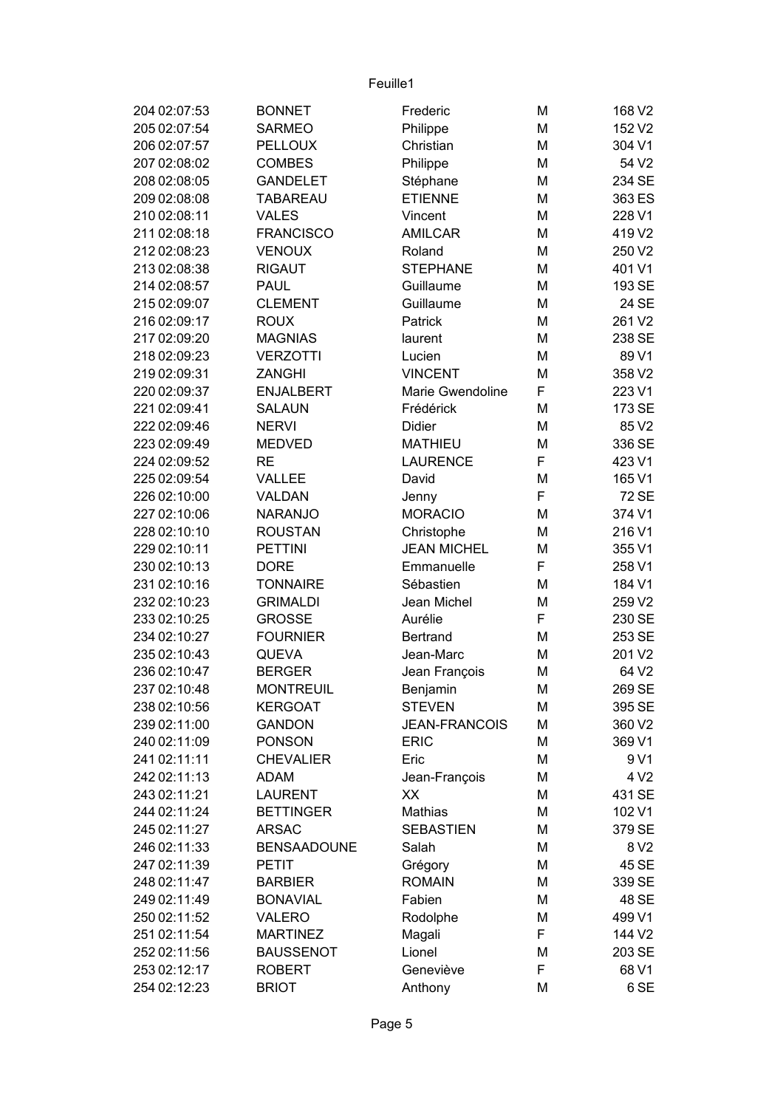| 204 02:07:53 | <b>BONNET</b>      | Frederic             | M | 168 V2           |
|--------------|--------------------|----------------------|---|------------------|
| 205 02:07:54 | <b>SARMEO</b>      | Philippe             | M | 152 V2           |
| 206 02:07:57 | <b>PELLOUX</b>     | Christian            | M | 304 V1           |
| 207 02:08:02 | <b>COMBES</b>      | Philippe             | M | 54 V2            |
| 208 02:08:05 | <b>GANDELET</b>    | Stéphane             | M | 234 SE           |
| 209 02:08:08 | <b>TABAREAU</b>    | <b>ETIENNE</b>       | M | 363 ES           |
| 210 02:08:11 | <b>VALES</b>       | Vincent              | M | 228 V1           |
| 211 02:08:18 | <b>FRANCISCO</b>   | <b>AMILCAR</b>       | M | 419 V2           |
| 212 02:08:23 | <b>VENOUX</b>      | Roland               | M | 250 V2           |
| 213 02:08:38 | <b>RIGAUT</b>      | <b>STEPHANE</b>      | M | 401 V1           |
| 214 02:08:57 | <b>PAUL</b>        | Guillaume            | M | 193 SE           |
| 215 02:09:07 | <b>CLEMENT</b>     | Guillaume            | M | 24 SE            |
| 216 02:09:17 | <b>ROUX</b>        | Patrick              | M | 261 V2           |
| 217 02:09:20 | <b>MAGNIAS</b>     | laurent              | M | 238 SE           |
| 218 02:09:23 | <b>VERZOTTI</b>    | Lucien               | M | 89 V1            |
| 219 02:09:31 | <b>ZANGHI</b>      | <b>VINCENT</b>       | M | 358 V2           |
| 220 02:09:37 | <b>ENJALBERT</b>   | Marie Gwendoline     | F | 223 V1           |
| 221 02:09:41 | <b>SALAUN</b>      | Frédérick            | M | 173 SE           |
| 222 02:09:46 | <b>NERVI</b>       | <b>Didier</b>        | M | 85 V2            |
| 223 02:09:49 | <b>MEDVED</b>      | <b>MATHIEU</b>       | M | 336 SE           |
| 224 02:09:52 | <b>RE</b>          | <b>LAURENCE</b>      | F | 423 V1           |
| 225 02:09:54 | VALLEE             | David                | M | 165 V1           |
| 226 02:10:00 | VALDAN             | Jenny                | F | <b>72 SE</b>     |
| 227 02:10:06 | <b>NARANJO</b>     | <b>MORACIO</b>       | M | 374 V1           |
| 228 02:10:10 | <b>ROUSTAN</b>     | Christophe           | M | 216 V1           |
| 229 02:10:11 | <b>PETTINI</b>     | <b>JEAN MICHEL</b>   | M | 355 V1           |
| 230 02:10:13 | <b>DORE</b>        | Emmanuelle           | F | 258 V1           |
| 231 02:10:16 | <b>TONNAIRE</b>    | Sébastien            | M | 184 V1           |
| 232 02:10:23 | <b>GRIMALDI</b>    | Jean Michel          | M | 259 V2           |
| 233 02:10:25 | <b>GROSSE</b>      | Aurélie              | F | 230 SE           |
| 234 02:10:27 | <b>FOURNIER</b>    | <b>Bertrand</b>      | M | 253 SE           |
| 235 02:10:43 | <b>QUEVA</b>       | Jean-Marc            | M | 201 V2           |
| 236 02:10:47 | <b>BERGER</b>      | Jean François        | M | 64 V2            |
| 237 02:10:48 | <b>MONTREUIL</b>   | Benjamin             | M | 269 SE           |
| 238 02:10:56 | <b>KERGOAT</b>     | <b>STEVEN</b>        | M | 395 SE           |
| 239 02:11:00 | <b>GANDON</b>      | <b>JEAN-FRANCOIS</b> | M | 360 V2           |
| 240 02:11:09 | <b>PONSON</b>      | <b>ERIC</b>          | M | 369 V1           |
| 241 02:11:11 | <b>CHEVALIER</b>   | Eric                 | M | 9 V1             |
| 242 02:11:13 | <b>ADAM</b>        | Jean-François        | M | 4 V <sub>2</sub> |
| 243 02:11:21 | <b>LAURENT</b>     | XХ                   | M | 431 SE           |
| 244 02:11:24 | <b>BETTINGER</b>   | Mathias              | M | 102 V1           |
| 245 02:11:27 | <b>ARSAC</b>       | <b>SEBASTIEN</b>     | M | 379 SE           |
| 246 02:11:33 | <b>BENSAADOUNE</b> | Salah                | M | 8 V 2            |
| 247 02:11:39 | <b>PETIT</b>       | Grégory              | M | 45 SE            |
| 248 02:11:47 | <b>BARBIER</b>     | <b>ROMAIN</b>        | M | 339 SE           |
| 249 02:11:49 | <b>BONAVIAL</b>    | Fabien               | M | 48 SE            |
| 250 02:11:52 | <b>VALERO</b>      | Rodolphe             | M | 499 V1           |
| 251 02:11:54 | <b>MARTINEZ</b>    | Magali               | F | 144 V2           |
| 252 02:11:56 | <b>BAUSSENOT</b>   | Lionel               | M | 203 SE           |
| 253 02:12:17 | <b>ROBERT</b>      | Geneviève            | F | 68 V1            |
| 254 02:12:23 | <b>BRIOT</b>       | Anthony              | M | 6 SE             |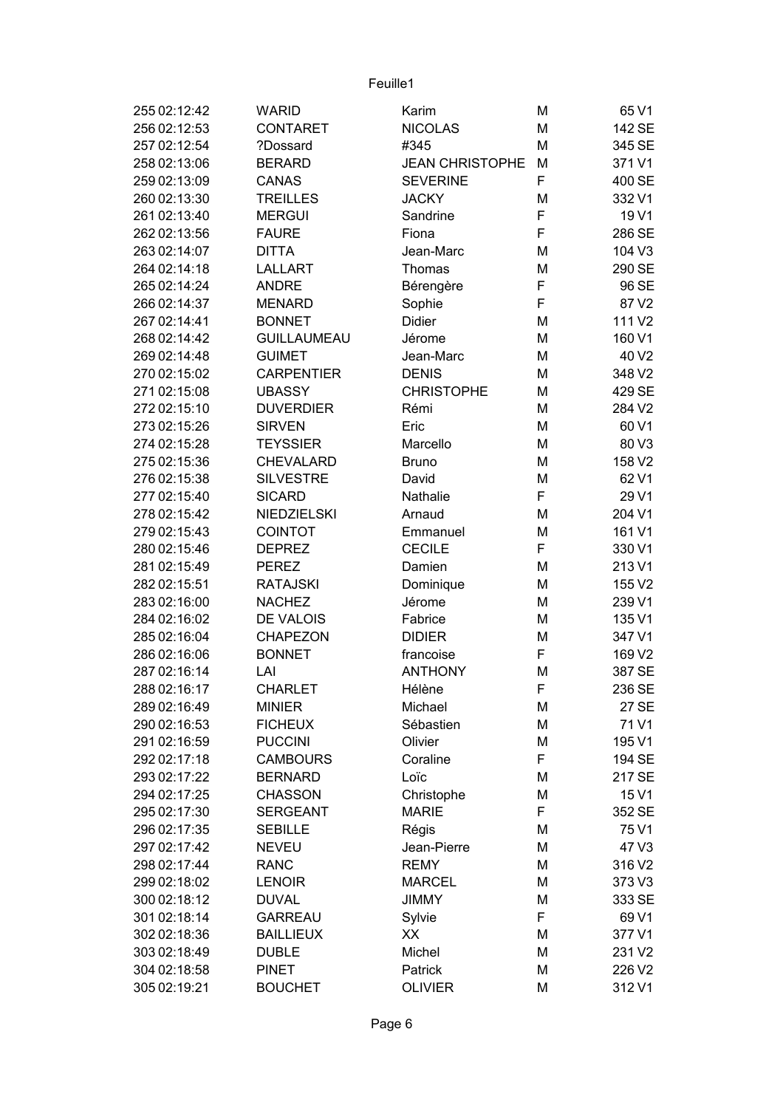| 255 02:12:42 | <b>WARID</b>       | Karim                  | M | 65 V1  |
|--------------|--------------------|------------------------|---|--------|
| 256 02:12:53 | <b>CONTARET</b>    | <b>NICOLAS</b>         | M | 142 SE |
| 257 02:12:54 | ?Dossard           | #345                   | M | 345 SE |
| 258 02:13:06 | <b>BERARD</b>      | <b>JEAN CHRISTOPHE</b> | M | 371 V1 |
| 259 02:13:09 | <b>CANAS</b>       | <b>SEVERINE</b>        | F | 400 SE |
| 260 02:13:30 | <b>TREILLES</b>    | <b>JACKY</b>           | M | 332 V1 |
| 261 02:13:40 | <b>MERGUI</b>      | Sandrine               | F | 19 V1  |
| 262 02:13:56 | <b>FAURE</b>       | Fiona                  | F | 286 SE |
| 263 02:14:07 | <b>DITTA</b>       | Jean-Marc              | M | 104 V3 |
| 264 02:14:18 | <b>LALLART</b>     | Thomas                 | M | 290 SE |
| 265 02:14:24 | <b>ANDRE</b>       | Bérengère              | F | 96 SE  |
| 266 02:14:37 | <b>MENARD</b>      | Sophie                 | F | 87 V2  |
| 267 02:14:41 | <b>BONNET</b>      | Didier                 | M | 111 V2 |
| 268 02:14:42 | <b>GUILLAUMEAU</b> | Jérome                 | M | 160 V1 |
| 269 02:14:48 | <b>GUIMET</b>      | Jean-Marc              | M | 40 V2  |
| 270 02:15:02 | <b>CARPENTIER</b>  | <b>DENIS</b>           | M | 348 V2 |
| 271 02:15:08 | <b>UBASSY</b>      | <b>CHRISTOPHE</b>      | M | 429 SE |
| 272 02:15:10 | <b>DUVERDIER</b>   | Rémi                   | M | 284 V2 |
| 273 02:15:26 | <b>SIRVEN</b>      | Eric                   | M | 60 V1  |
| 274 02:15:28 | <b>TEYSSIER</b>    | Marcello               | M | 80 V3  |
| 275 02:15:36 | <b>CHEVALARD</b>   | <b>Bruno</b>           | M | 158 V2 |
| 276 02:15:38 | <b>SILVESTRE</b>   | David                  | M | 62 V1  |
| 277 02:15:40 | <b>SICARD</b>      | Nathalie               | F | 29 V1  |
| 278 02:15:42 | NIEDZIELSKI        | Arnaud                 | M | 204 V1 |
| 279 02:15:43 | <b>COINTOT</b>     | Emmanuel               | M | 161 V1 |
| 280 02:15:46 | <b>DEPREZ</b>      | <b>CECILE</b>          | F | 330 V1 |
| 281 02:15:49 | <b>PEREZ</b>       | Damien                 | M | 213 V1 |
| 282 02:15:51 | <b>RATAJSKI</b>    | Dominique              | M | 155 V2 |
| 283 02:16:00 | <b>NACHEZ</b>      | Jérome                 | M | 239 V1 |
| 284 02:16:02 | <b>DE VALOIS</b>   | Fabrice                | M | 135 V1 |
| 285 02:16:04 | <b>CHAPEZON</b>    | <b>DIDIER</b>          | M | 347 V1 |
| 286 02:16:06 | <b>BONNET</b>      | francoise              | F | 169 V2 |
| 287 02:16:14 | LAI                | <b>ANTHONY</b>         | M | 387 SE |
| 288 02:16:17 | <b>CHARLET</b>     | Hélène                 | F | 236 SE |
| 289 02:16:49 | <b>MINIER</b>      | Michael                | M | 27 SE  |
| 290 02:16:53 | <b>FICHEUX</b>     | Sébastien              | M | 71 V1  |
| 291 02:16:59 | <b>PUCCINI</b>     | Olivier                | M | 195 V1 |
| 292 02:17:18 | <b>CAMBOURS</b>    | Coraline               | F | 194 SE |
| 293 02:17:22 | <b>BERNARD</b>     | Loïc                   | M | 217 SE |
| 294 02:17:25 | <b>CHASSON</b>     | Christophe             | M | 15 V1  |
| 295 02:17:30 | <b>SERGEANT</b>    | <b>MARIE</b>           | F | 352 SE |
| 296 02:17:35 | <b>SEBILLE</b>     | Régis                  | M | 75 V1  |
| 297 02:17:42 | <b>NEVEU</b>       | Jean-Pierre            | M | 47 V3  |
| 298 02:17:44 | <b>RANC</b>        | <b>REMY</b>            | M | 316 V2 |
| 299 02:18:02 | <b>LENOIR</b>      | <b>MARCEL</b>          | M | 373 V3 |
| 300 02:18:12 | <b>DUVAL</b>       | <b>JIMMY</b>           | М | 333 SE |
| 301 02:18:14 | <b>GARREAU</b>     | Sylvie                 | F | 69 V1  |
| 302 02:18:36 | <b>BAILLIEUX</b>   | XХ                     | M | 377 V1 |
| 303 02:18:49 | <b>DUBLE</b>       | Michel                 | M | 231 V2 |
| 304 02:18:58 | <b>PINET</b>       | Patrick                | M | 226 V2 |
| 305 02:19:21 | <b>BOUCHET</b>     | <b>OLIVIER</b>         | M | 312 V1 |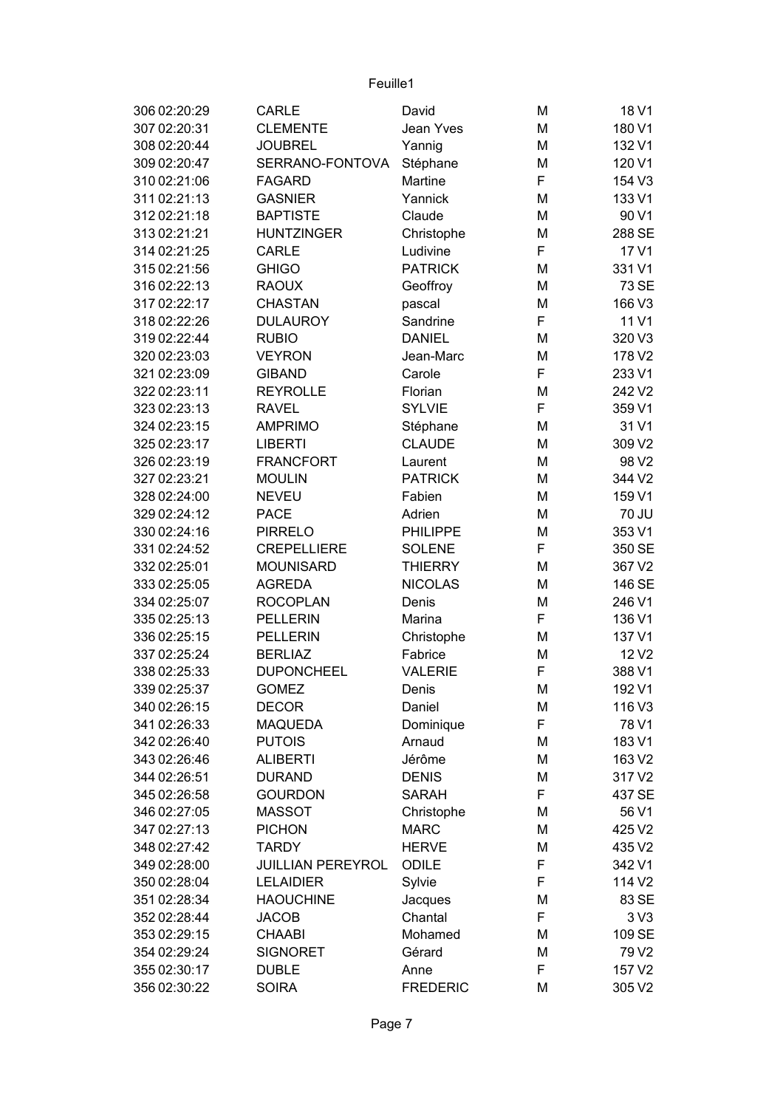| 306 02:20:29 | <b>CARLE</b>             | David           | М | 18 V1             |
|--------------|--------------------------|-----------------|---|-------------------|
| 307 02:20:31 | <b>CLEMENTE</b>          | Jean Yves       | М | 180 V1            |
| 308 02:20:44 | <b>JOUBREL</b>           | Yannig          | M | 132 V1            |
| 309 02:20:47 | SERRANO-FONTOVA          | Stéphane        | M | 120 V1            |
| 310 02:21:06 | <b>FAGARD</b>            | Martine         | F | 154 V3            |
| 311 02:21:13 | <b>GASNIER</b>           | Yannick         | М | 133 V1            |
| 312 02:21:18 | <b>BAPTISTE</b>          | Claude          | М | 90 V1             |
| 313 02:21:21 | <b>HUNTZINGER</b>        | Christophe      | М | 288 SE            |
| 314 02:21:25 | <b>CARLE</b>             | Ludivine        | F | 17 V1             |
| 315 02:21:56 | <b>GHIGO</b>             | <b>PATRICK</b>  | M | 331 V1            |
| 316 02:22:13 | <b>RAOUX</b>             | Geoffroy        | М | 73 SE             |
| 317 02:22:17 | <b>CHASTAN</b>           | pascal          | M | 166 V3            |
| 318 02:22:26 | <b>DULAUROY</b>          | Sandrine        | F | 11 V1             |
| 319 02:22:44 | <b>RUBIO</b>             | <b>DANIEL</b>   | M | 320 V3            |
| 320 02:23:03 | <b>VEYRON</b>            | Jean-Marc       | М | 178 V2            |
| 321 02:23:09 | <b>GIBAND</b>            | Carole          | F | 233 V1            |
| 322 02:23:11 | <b>REYROLLE</b>          | Florian         | M | 242 V2            |
| 323 02:23:13 | <b>RAVEL</b>             | <b>SYLVIE</b>   | F | 359 V1            |
| 324 02:23:15 | <b>AMPRIMO</b>           | Stéphane        | М | 31 V1             |
| 325 02:23:17 | <b>LIBERTI</b>           | <b>CLAUDE</b>   | М | 309 V2            |
| 326 02:23:19 | <b>FRANCFORT</b>         | Laurent         | M | 98 V <sub>2</sub> |
| 327 02:23:21 | <b>MOULIN</b>            | <b>PATRICK</b>  | M | 344 V2            |
| 328 02:24:00 | <b>NEVEU</b>             | Fabien          | М | 159 V1            |
| 329 02:24:12 | <b>PACE</b>              | Adrien          | М | 70 JU             |
| 330 02:24:16 | <b>PIRRELO</b>           | <b>PHILIPPE</b> | M | 353 V1            |
| 331 02:24:52 | <b>CREPELLIERE</b>       | <b>SOLENE</b>   | F | 350 SE            |
| 332 02:25:01 | <b>MOUNISARD</b>         | <b>THIERRY</b>  | М | 367 V2            |
| 333 02:25:05 | <b>AGREDA</b>            | <b>NICOLAS</b>  | М | 146 SE            |
| 334 02:25:07 | <b>ROCOPLAN</b>          | Denis           | М | 246 V1            |
| 335 02:25:13 | <b>PELLERIN</b>          | Marina          | F | 136 V1            |
| 336 02:25:15 | <b>PELLERIN</b>          | Christophe      | М | 137 V1            |
| 337 02:25:24 | <b>BERLIAZ</b>           | Fabrice         | M | 12 V <sub>2</sub> |
| 338 02:25:33 | <b>DUPONCHEEL</b>        | <b>VALERIE</b>  | F | 388 V1            |
| 339 02:25:37 | <b>GOMEZ</b>             | Denis           | M | 192 V1            |
| 340 02:26:15 | <b>DECOR</b>             | Daniel          | M | 116 V3            |
| 341 02:26:33 | <b>MAQUEDA</b>           | Dominique       | F | 78 V1             |
| 342 02:26:40 | <b>PUTOIS</b>            | Arnaud          | M | 183 V1            |
| 343 02:26:46 | <b>ALIBERTI</b>          | Jérôme          | М | 163 V2            |
| 344 02:26:51 | <b>DURAND</b>            | <b>DENIS</b>    | M | 317 V2            |
| 345 02:26:58 | <b>GOURDON</b>           | <b>SARAH</b>    | F | 437 SE            |
| 346 02:27:05 | <b>MASSOT</b>            | Christophe      | M | 56 V1             |
| 347 02:27:13 | <b>PICHON</b>            | <b>MARC</b>     | M | 425 V2            |
| 348 02:27:42 | <b>TARDY</b>             | <b>HERVE</b>    | M | 435 V2            |
| 349 02:28:00 | <b>JUILLIAN PEREYROL</b> | ODILE           | F | 342 V1            |
| 350 02:28:04 | <b>LELAIDIER</b>         | Sylvie          | F | 114 V2            |
| 351 02:28:34 | <b>HAOUCHINE</b>         | Jacques         | M | 83 SE             |
| 352 02:28:44 | <b>JACOB</b>             | Chantal         | F | 3 <sub>V</sub> 3  |
| 353 02:29:15 | <b>CHAABI</b>            | Mohamed         | M | 109 SE            |
| 354 02:29:24 | <b>SIGNORET</b>          | Gérard          | M | 79 V2             |
| 355 02:30:17 | <b>DUBLE</b>             | Anne            | F | 157 V2            |
| 356 02:30:22 | <b>SOIRA</b>             | <b>FREDERIC</b> | M | 305 V2            |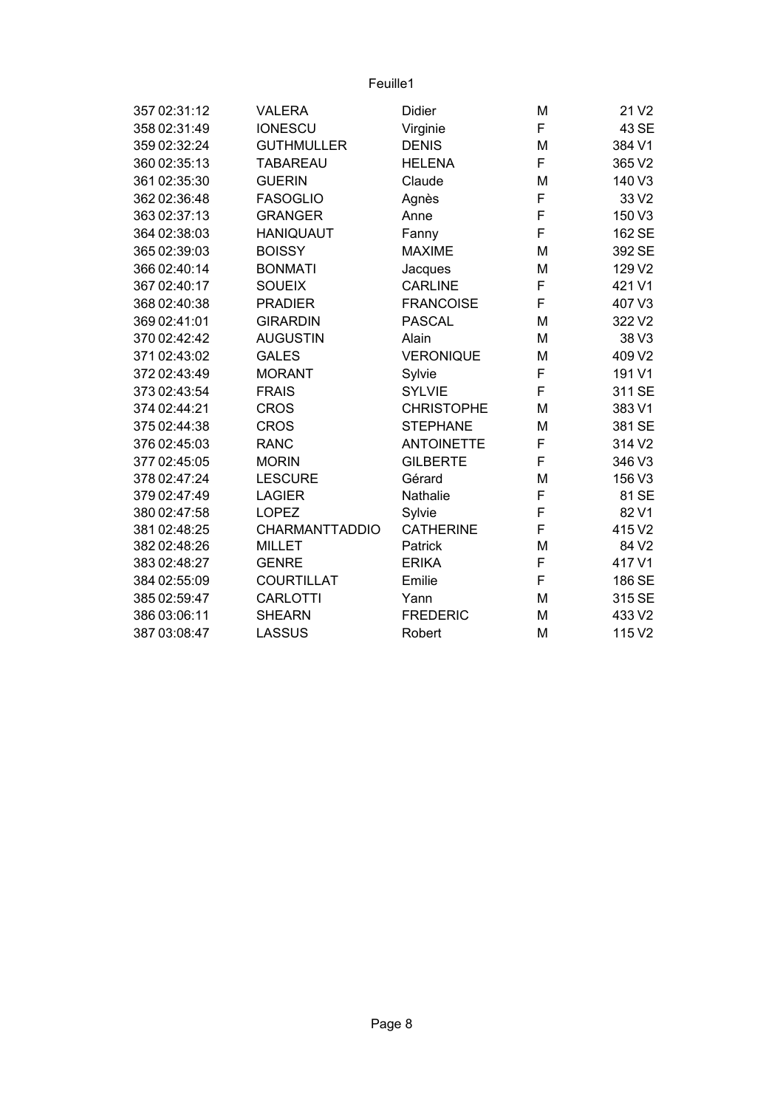| 357 02:31:12 | <b>VALERA</b>         | <b>Didier</b>     | M | 21 V <sub>2</sub> |
|--------------|-----------------------|-------------------|---|-------------------|
| 358 02:31:49 | <b>IONESCU</b>        | Virginie          | F | 43 SE             |
| 359 02:32:24 | <b>GUTHMULLER</b>     | <b>DENIS</b>      | M | 384 V1            |
| 360 02:35:13 | <b>TABAREAU</b>       | <b>HELENA</b>     | F | 365 V2            |
| 361 02:35:30 | <b>GUERIN</b>         | Claude            | M | 140 V3            |
| 362 02:36:48 | <b>FASOGLIO</b>       | Agnès             | F | 33 V2             |
| 363 02:37:13 | <b>GRANGER</b>        | Anne              | F | 150 V3            |
| 364 02:38:03 | <b>HANIQUAUT</b>      | Fanny             | F | 162 SE            |
| 365 02:39:03 | <b>BOISSY</b>         | <b>MAXIME</b>     | M | 392 SE            |
| 366 02:40:14 | <b>BONMATI</b>        | Jacques           | M | 129 V2            |
| 367 02:40:17 | <b>SOUEIX</b>         | <b>CARLINE</b>    | F | 421 V1            |
| 368 02:40:38 | <b>PRADIER</b>        | <b>FRANCOISE</b>  | F | 407 V3            |
| 369 02:41:01 | <b>GIRARDIN</b>       | <b>PASCAL</b>     | M | 322V2             |
| 370 02:42:42 | <b>AUGUSTIN</b>       | Alain             | M | 38 V3             |
| 371 02:43:02 | <b>GALES</b>          | <b>VERONIQUE</b>  | M | 409 V2            |
| 372 02:43:49 | <b>MORANT</b>         | Sylvie            | F | 191 V1            |
| 373 02:43:54 | <b>FRAIS</b>          | <b>SYLVIE</b>     | F | 311 SE            |
| 374 02:44:21 | <b>CROS</b>           | <b>CHRISTOPHE</b> | M | 383 V1            |
| 375 02:44:38 | <b>CROS</b>           | <b>STEPHANE</b>   | M | 381 SE            |
| 376 02:45:03 | <b>RANC</b>           | <b>ANTOINETTE</b> | F | 314 V2            |
| 377 02:45:05 | <b>MORIN</b>          | <b>GILBERTE</b>   | F | 346 V3            |
| 378 02:47:24 | <b>LESCURE</b>        | Gérard            | M | 156 V3            |
| 379 02:47:49 | <b>LAGIER</b>         | Nathalie          | F | 81 SE             |
| 380 02:47:58 | <b>LOPEZ</b>          | Sylvie            | F | 82 V1             |
| 381 02:48:25 | <b>CHARMANTTADDIO</b> | <b>CATHERINE</b>  | F | 415 V2            |
| 382 02:48:26 | <b>MILLET</b>         | Patrick           | M | 84 V2             |
| 383 02:48:27 | <b>GENRE</b>          | <b>ERIKA</b>      | F | 417 V1            |
| 384 02:55:09 | <b>COURTILLAT</b>     | Emilie            | F | 186 SE            |
| 385 02:59:47 | <b>CARLOTTI</b>       | Yann              | M | 315 SE            |
| 386 03:06:11 | <b>SHEARN</b>         | <b>FREDERIC</b>   | M | 433 V2            |
| 387 03:08:47 | <b>LASSUS</b>         | Robert            | M | 115 V2            |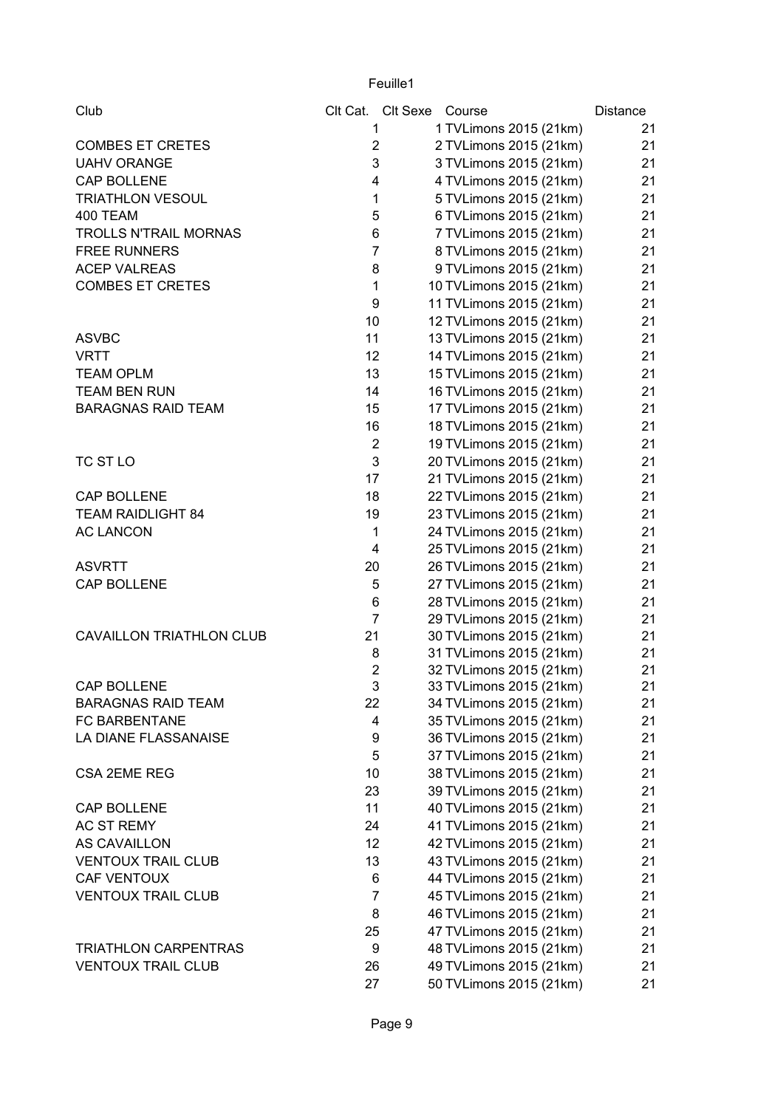| Club                            |                 | Clt Cat. Clt Sexe Course |                         | Distance |
|---------------------------------|-----------------|--------------------------|-------------------------|----------|
|                                 | 1               |                          | 1 TVLimons 2015 (21km)  | 21       |
| <b>COMBES ET CRETES</b>         | $\overline{2}$  |                          | 2 TVLimons 2015 (21km)  | 21       |
| <b>UAHV ORANGE</b>              | 3               |                          | 3 TVLimons 2015 (21km)  | 21       |
| CAP BOLLENE                     | 4               |                          | 4 TVLimons 2015 (21km)  | 21       |
| <b>TRIATHLON VESOUL</b>         | $\mathbf{1}$    |                          | 5 TVLimons 2015 (21km)  | 21       |
| 400 TEAM                        | 5               |                          | 6 TVLimons 2015 (21km)  | 21       |
| <b>TROLLS N'TRAIL MORNAS</b>    | 6               |                          | 7 TVLimons 2015 (21km)  | 21       |
| <b>FREE RUNNERS</b>             | $\overline{7}$  |                          | 8 TVLimons 2015 (21km)  | 21       |
| <b>ACEP VALREAS</b>             | 8               |                          | 9 TVLimons 2015 (21km)  | 21       |
| <b>COMBES ET CRETES</b>         | $\mathbf{1}$    |                          | 10 TVLimons 2015 (21km) | 21       |
|                                 | 9               |                          | 11 TVLimons 2015 (21km) | 21       |
|                                 | 10              |                          | 12 TVLimons 2015 (21km) | 21       |
| <b>ASVBC</b>                    | 11              |                          | 13 TVLimons 2015 (21km) | 21       |
| <b>VRTT</b>                     | 12              |                          | 14 TVLimons 2015 (21km) | 21       |
| <b>TEAM OPLM</b>                | 13              |                          | 15 TVLimons 2015 (21km) | 21       |
| <b>TEAM BEN RUN</b>             | 14              |                          | 16 TVLimons 2015 (21km) | 21       |
| <b>BARAGNAS RAID TEAM</b>       | 15              |                          | 17 TVLimons 2015 (21km) | 21       |
|                                 | 16              |                          | 18 TVLimons 2015 (21km) | 21       |
|                                 | $\overline{2}$  |                          | 19 TVLimons 2015 (21km) | 21       |
| TC ST LO                        | 3               |                          | 20 TVLimons 2015 (21km) | 21       |
|                                 | 17              |                          | 21 TVLimons 2015 (21km) | 21       |
| CAP BOLLENE                     | 18              |                          | 22 TVLimons 2015 (21km) | 21       |
| <b>TEAM RAIDLIGHT 84</b>        | 19              |                          | 23 TVLimons 2015 (21km) | 21       |
| <b>AC LANCON</b>                | 1               |                          | 24 TVLimons 2015 (21km) | 21       |
|                                 | 4               |                          | 25 TVLimons 2015 (21km) | 21       |
| <b>ASVRTT</b>                   | 20              |                          | 26 TVLimons 2015 (21km) | 21       |
| CAP BOLLENE                     | 5               |                          | 27 TVLimons 2015 (21km) | 21       |
|                                 | 6               |                          | 28 TVLimons 2015 (21km) | 21       |
|                                 | $\overline{7}$  |                          | 29 TVLimons 2015 (21km) | 21       |
| <b>CAVAILLON TRIATHLON CLUB</b> | 21              |                          | 30 TVLimons 2015 (21km) | 21       |
|                                 | 8               |                          | 31 TVLimons 2015 (21km) | 21       |
|                                 | $\overline{2}$  |                          | 32 TVLimons 2015 (21km) | 21       |
| <b>CAP BOLLENE</b>              | 3               |                          | 33 TVLimons 2015 (21km) | 21       |
| <b>BARAGNAS RAID TEAM</b>       | 22              |                          | 34 TVLimons 2015 (21km) | 21       |
| <b>FC BARBENTANE</b>            | 4               |                          | 35 TVLimons 2015 (21km) | 21       |
| LA DIANE FLASSANAISE            | 9               |                          | 36 TVLimons 2015 (21km) | 21       |
|                                 | 5               |                          | 37 TVLimons 2015 (21km) | 21       |
| <b>CSA 2EME REG</b>             | 10 <sub>1</sub> |                          | 38 TVLimons 2015 (21km) | 21       |
|                                 | 23              |                          | 39 TVLimons 2015 (21km) | 21       |
| CAP BOLLENE                     | 11              |                          | 40 TVLimons 2015 (21km) | 21       |
| AC ST REMY                      | 24              |                          | 41 TVLimons 2015 (21km) | 21       |
| <b>AS CAVAILLON</b>             | 12 <sub>2</sub> |                          | 42 TVLimons 2015 (21km) | 21       |
| <b>VENTOUX TRAIL CLUB</b>       | 13              |                          | 43 TVLimons 2015 (21km) | 21       |
| CAF VENTOUX                     | 6               |                          | 44 TVLimons 2015 (21km) | 21       |
| <b>VENTOUX TRAIL CLUB</b>       | $\overline{7}$  |                          | 45 TVLimons 2015 (21km) | 21       |
|                                 | 8               |                          | 46 TVLimons 2015 (21km) | 21       |
|                                 | 25              |                          | 47 TVLimons 2015 (21km) | 21       |
| <b>TRIATHLON CARPENTRAS</b>     | 9               |                          | 48 TVLimons 2015 (21km) | 21       |
| <b>VENTOUX TRAIL CLUB</b>       | 26              |                          | 49 TVLimons 2015 (21km) | 21       |
|                                 | 27              |                          | 50 TVLimons 2015 (21km) | 21       |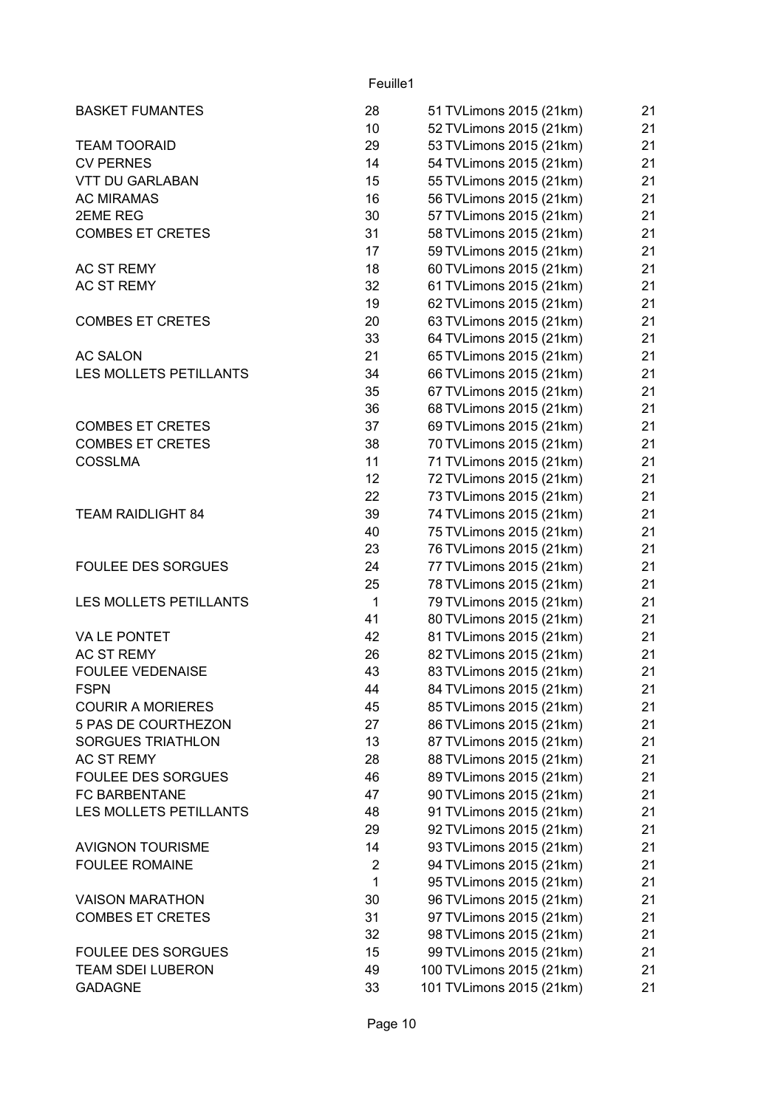| <b>BASKET FUMANTES</b>        | 28              | 51 TVLimons 2015 (21km)  | 21 |
|-------------------------------|-----------------|--------------------------|----|
|                               | 10              | 52 TVLimons 2015 (21km)  | 21 |
| <b>TEAM TOORAID</b>           | 29              | 53 TVLimons 2015 (21km)  | 21 |
| <b>CV PERNES</b>              | 14              | 54 TVLimons 2015 (21km)  | 21 |
| <b>VTT DU GARLABAN</b>        | 15              | 55 TVLimons 2015 (21km)  | 21 |
| <b>AC MIRAMAS</b>             | 16              | 56 TVLimons 2015 (21km)  | 21 |
| 2EME REG                      | 30              | 57 TVLimons 2015 (21km)  | 21 |
| <b>COMBES ET CRETES</b>       | 31              | 58 TVLimons 2015 (21km)  | 21 |
|                               | 17              | 59 TVLimons 2015 (21km)  | 21 |
| AC ST REMY                    | 18              | 60 TVLimons 2015 (21km)  | 21 |
| <b>AC ST REMY</b>             | 32              | 61 TVLimons 2015 (21km)  | 21 |
|                               | 19              | 62 TVLimons 2015 (21km)  | 21 |
| <b>COMBES ET CRETES</b>       | 20              | 63 TVLimons 2015 (21km)  | 21 |
|                               | 33              | 64 TVLimons 2015 (21km)  | 21 |
| <b>AC SALON</b>               | 21              | 65 TVLimons 2015 (21km)  | 21 |
| <b>LES MOLLETS PETILLANTS</b> | 34              |                          | 21 |
|                               |                 | 66 TVLimons 2015 (21km)  |    |
|                               | 35              | 67 TVLimons 2015 (21km)  | 21 |
|                               | 36              | 68 TVLimons 2015 (21km)  | 21 |
| <b>COMBES ET CRETES</b>       | 37              | 69 TVLimons 2015 (21km)  | 21 |
| <b>COMBES ET CRETES</b>       | 38              | 70 TVLimons 2015 (21km)  | 21 |
| <b>COSSLMA</b>                | 11              | 71 TVLimons 2015 (21km)  | 21 |
|                               | 12 <sub>2</sub> | 72 TVLimons 2015 (21km)  | 21 |
|                               | 22              | 73 TVLimons 2015 (21km)  | 21 |
| <b>TEAM RAIDLIGHT 84</b>      | 39              | 74 TVLimons 2015 (21km)  | 21 |
|                               | 40              | 75 TVLimons 2015 (21km)  | 21 |
|                               | 23              | 76 TVLimons 2015 (21km)  | 21 |
| <b>FOULEE DES SORGUES</b>     | 24              | 77 TVLimons 2015 (21km)  | 21 |
|                               | 25              | 78 TVLimons 2015 (21km)  | 21 |
| LES MOLLETS PETILLANTS        | $\mathbf{1}$    | 79 TVLimons 2015 (21km)  | 21 |
|                               | 41              | 80 TVLimons 2015 (21km)  | 21 |
| VA LE PONTET                  | 42              | 81 TVLimons 2015 (21km)  | 21 |
| AC ST REMY                    | 26              | 82 TVLimons 2015 (21km)  | 21 |
| <b>FOULEE VEDENAISE</b>       | 43              | 83 TVLimons 2015 (21km)  | 21 |
| <b>FSPN</b>                   | 44              | 84 TVLimons 2015 (21km)  | 21 |
| <b>COURIR A MORIERES</b>      | 45              | 85 TVLimons 2015 (21km)  | 21 |
| 5 PAS DE COURTHEZON           | 27              | 86 TVLimons 2015 (21km)  | 21 |
| <b>SORGUES TRIATHLON</b>      | 13              | 87 TVLimons 2015 (21km)  | 21 |
| AC ST REMY                    | 28              | 88 TVLimons 2015 (21km)  | 21 |
| <b>FOULEE DES SORGUES</b>     | 46              | 89 TVLimons 2015 (21km)  | 21 |
| FC BARBENTANE                 | 47              | 90 TVLimons 2015 (21km)  | 21 |
| LES MOLLETS PETILLANTS        | 48              | 91 TVLimons 2015 (21km)  | 21 |
|                               | 29              | 92 TVLimons 2015 (21km)  | 21 |
| <b>AVIGNON TOURISME</b>       | 14              | 93 TVLimons 2015 (21km)  | 21 |
|                               | $\overline{2}$  |                          |    |
| <b>FOULEE ROMAINE</b>         |                 | 94 TVLimons 2015 (21km)  | 21 |
|                               | 1               | 95 TVLimons 2015 (21km)  | 21 |
| <b>VAISON MARATHON</b>        | 30              | 96 TVLimons 2015 (21km)  | 21 |
| <b>COMBES ET CRETES</b>       | 31              | 97 TVLimons 2015 (21km)  | 21 |
|                               | 32              | 98 TVLimons 2015 (21km)  | 21 |
| <b>FOULEE DES SORGUES</b>     | 15              | 99 TVLimons 2015 (21km)  | 21 |
| TEAM SDEI LUBERON             | 49              | 100 TVLimons 2015 (21km) | 21 |
| <b>GADAGNE</b>                | 33              | 101 TVLimons 2015 (21km) | 21 |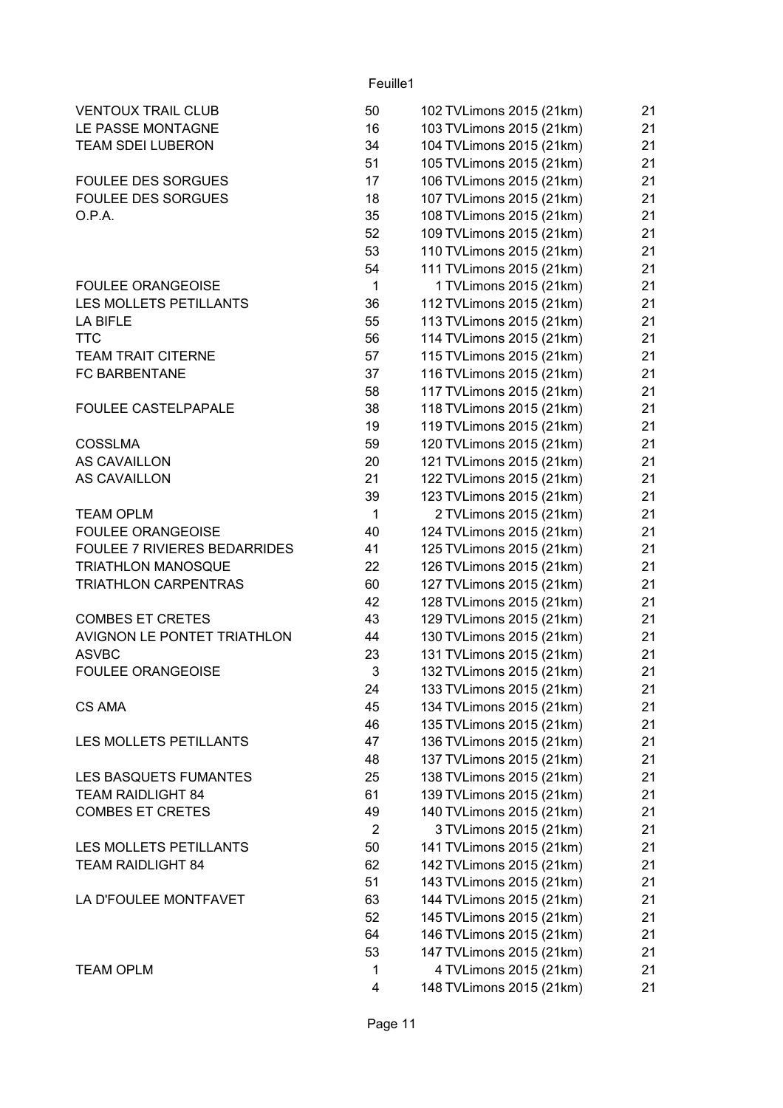| 50           | 102 TVLimons 2015 (21km)                                                                                                                                                                                          | 21                                                                                                                                                                                                                                                                                                                                                                                                                                                                                                                                                                                                                                                                                                                                                                                                                                                                                                                                                                                                                                       |
|--------------|-------------------------------------------------------------------------------------------------------------------------------------------------------------------------------------------------------------------|------------------------------------------------------------------------------------------------------------------------------------------------------------------------------------------------------------------------------------------------------------------------------------------------------------------------------------------------------------------------------------------------------------------------------------------------------------------------------------------------------------------------------------------------------------------------------------------------------------------------------------------------------------------------------------------------------------------------------------------------------------------------------------------------------------------------------------------------------------------------------------------------------------------------------------------------------------------------------------------------------------------------------------------|
| 16           | 103 TVLimons 2015 (21km)                                                                                                                                                                                          | 21                                                                                                                                                                                                                                                                                                                                                                                                                                                                                                                                                                                                                                                                                                                                                                                                                                                                                                                                                                                                                                       |
| 34           | 104 TVLimons 2015 (21km)                                                                                                                                                                                          | 21                                                                                                                                                                                                                                                                                                                                                                                                                                                                                                                                                                                                                                                                                                                                                                                                                                                                                                                                                                                                                                       |
| 51           |                                                                                                                                                                                                                   | 21                                                                                                                                                                                                                                                                                                                                                                                                                                                                                                                                                                                                                                                                                                                                                                                                                                                                                                                                                                                                                                       |
| 17           |                                                                                                                                                                                                                   | 21                                                                                                                                                                                                                                                                                                                                                                                                                                                                                                                                                                                                                                                                                                                                                                                                                                                                                                                                                                                                                                       |
|              |                                                                                                                                                                                                                   | 21                                                                                                                                                                                                                                                                                                                                                                                                                                                                                                                                                                                                                                                                                                                                                                                                                                                                                                                                                                                                                                       |
|              |                                                                                                                                                                                                                   | 21                                                                                                                                                                                                                                                                                                                                                                                                                                                                                                                                                                                                                                                                                                                                                                                                                                                                                                                                                                                                                                       |
|              |                                                                                                                                                                                                                   | 21                                                                                                                                                                                                                                                                                                                                                                                                                                                                                                                                                                                                                                                                                                                                                                                                                                                                                                                                                                                                                                       |
|              |                                                                                                                                                                                                                   | 21                                                                                                                                                                                                                                                                                                                                                                                                                                                                                                                                                                                                                                                                                                                                                                                                                                                                                                                                                                                                                                       |
|              |                                                                                                                                                                                                                   | 21                                                                                                                                                                                                                                                                                                                                                                                                                                                                                                                                                                                                                                                                                                                                                                                                                                                                                                                                                                                                                                       |
|              |                                                                                                                                                                                                                   | 21                                                                                                                                                                                                                                                                                                                                                                                                                                                                                                                                                                                                                                                                                                                                                                                                                                                                                                                                                                                                                                       |
|              |                                                                                                                                                                                                                   | 21                                                                                                                                                                                                                                                                                                                                                                                                                                                                                                                                                                                                                                                                                                                                                                                                                                                                                                                                                                                                                                       |
|              |                                                                                                                                                                                                                   | 21                                                                                                                                                                                                                                                                                                                                                                                                                                                                                                                                                                                                                                                                                                                                                                                                                                                                                                                                                                                                                                       |
|              |                                                                                                                                                                                                                   | 21                                                                                                                                                                                                                                                                                                                                                                                                                                                                                                                                                                                                                                                                                                                                                                                                                                                                                                                                                                                                                                       |
|              |                                                                                                                                                                                                                   |                                                                                                                                                                                                                                                                                                                                                                                                                                                                                                                                                                                                                                                                                                                                                                                                                                                                                                                                                                                                                                          |
|              |                                                                                                                                                                                                                   | 21                                                                                                                                                                                                                                                                                                                                                                                                                                                                                                                                                                                                                                                                                                                                                                                                                                                                                                                                                                                                                                       |
|              |                                                                                                                                                                                                                   | 21                                                                                                                                                                                                                                                                                                                                                                                                                                                                                                                                                                                                                                                                                                                                                                                                                                                                                                                                                                                                                                       |
|              |                                                                                                                                                                                                                   | 21                                                                                                                                                                                                                                                                                                                                                                                                                                                                                                                                                                                                                                                                                                                                                                                                                                                                                                                                                                                                                                       |
|              |                                                                                                                                                                                                                   | 21                                                                                                                                                                                                                                                                                                                                                                                                                                                                                                                                                                                                                                                                                                                                                                                                                                                                                                                                                                                                                                       |
|              |                                                                                                                                                                                                                   | 21                                                                                                                                                                                                                                                                                                                                                                                                                                                                                                                                                                                                                                                                                                                                                                                                                                                                                                                                                                                                                                       |
|              |                                                                                                                                                                                                                   | 21                                                                                                                                                                                                                                                                                                                                                                                                                                                                                                                                                                                                                                                                                                                                                                                                                                                                                                                                                                                                                                       |
|              |                                                                                                                                                                                                                   | 21                                                                                                                                                                                                                                                                                                                                                                                                                                                                                                                                                                                                                                                                                                                                                                                                                                                                                                                                                                                                                                       |
| 21           | 122 TVLimons 2015 (21km)                                                                                                                                                                                          | 21                                                                                                                                                                                                                                                                                                                                                                                                                                                                                                                                                                                                                                                                                                                                                                                                                                                                                                                                                                                                                                       |
| 39           | 123 TVLimons 2015 (21km)                                                                                                                                                                                          | 21                                                                                                                                                                                                                                                                                                                                                                                                                                                                                                                                                                                                                                                                                                                                                                                                                                                                                                                                                                                                                                       |
| $\mathbf{1}$ | 2 TVLimons 2015 (21km)                                                                                                                                                                                            | 21                                                                                                                                                                                                                                                                                                                                                                                                                                                                                                                                                                                                                                                                                                                                                                                                                                                                                                                                                                                                                                       |
| 40           | 124 TVLimons 2015 (21km)                                                                                                                                                                                          | 21                                                                                                                                                                                                                                                                                                                                                                                                                                                                                                                                                                                                                                                                                                                                                                                                                                                                                                                                                                                                                                       |
| 41           | 125 TVLimons 2015 (21km)                                                                                                                                                                                          | 21                                                                                                                                                                                                                                                                                                                                                                                                                                                                                                                                                                                                                                                                                                                                                                                                                                                                                                                                                                                                                                       |
| 22           | 126 TVLimons 2015 (21km)                                                                                                                                                                                          | 21                                                                                                                                                                                                                                                                                                                                                                                                                                                                                                                                                                                                                                                                                                                                                                                                                                                                                                                                                                                                                                       |
| 60           |                                                                                                                                                                                                                   | 21                                                                                                                                                                                                                                                                                                                                                                                                                                                                                                                                                                                                                                                                                                                                                                                                                                                                                                                                                                                                                                       |
| 42           |                                                                                                                                                                                                                   | 21                                                                                                                                                                                                                                                                                                                                                                                                                                                                                                                                                                                                                                                                                                                                                                                                                                                                                                                                                                                                                                       |
|              |                                                                                                                                                                                                                   | 21                                                                                                                                                                                                                                                                                                                                                                                                                                                                                                                                                                                                                                                                                                                                                                                                                                                                                                                                                                                                                                       |
|              |                                                                                                                                                                                                                   | 21                                                                                                                                                                                                                                                                                                                                                                                                                                                                                                                                                                                                                                                                                                                                                                                                                                                                                                                                                                                                                                       |
|              |                                                                                                                                                                                                                   | 21                                                                                                                                                                                                                                                                                                                                                                                                                                                                                                                                                                                                                                                                                                                                                                                                                                                                                                                                                                                                                                       |
|              |                                                                                                                                                                                                                   | 21                                                                                                                                                                                                                                                                                                                                                                                                                                                                                                                                                                                                                                                                                                                                                                                                                                                                                                                                                                                                                                       |
|              |                                                                                                                                                                                                                   | 21                                                                                                                                                                                                                                                                                                                                                                                                                                                                                                                                                                                                                                                                                                                                                                                                                                                                                                                                                                                                                                       |
|              |                                                                                                                                                                                                                   | 21                                                                                                                                                                                                                                                                                                                                                                                                                                                                                                                                                                                                                                                                                                                                                                                                                                                                                                                                                                                                                                       |
|              |                                                                                                                                                                                                                   | 21                                                                                                                                                                                                                                                                                                                                                                                                                                                                                                                                                                                                                                                                                                                                                                                                                                                                                                                                                                                                                                       |
|              |                                                                                                                                                                                                                   | 21                                                                                                                                                                                                                                                                                                                                                                                                                                                                                                                                                                                                                                                                                                                                                                                                                                                                                                                                                                                                                                       |
|              |                                                                                                                                                                                                                   |                                                                                                                                                                                                                                                                                                                                                                                                                                                                                                                                                                                                                                                                                                                                                                                                                                                                                                                                                                                                                                          |
|              |                                                                                                                                                                                                                   | 21                                                                                                                                                                                                                                                                                                                                                                                                                                                                                                                                                                                                                                                                                                                                                                                                                                                                                                                                                                                                                                       |
|              |                                                                                                                                                                                                                   | 21                                                                                                                                                                                                                                                                                                                                                                                                                                                                                                                                                                                                                                                                                                                                                                                                                                                                                                                                                                                                                                       |
|              |                                                                                                                                                                                                                   | 21                                                                                                                                                                                                                                                                                                                                                                                                                                                                                                                                                                                                                                                                                                                                                                                                                                                                                                                                                                                                                                       |
|              |                                                                                                                                                                                                                   | 21                                                                                                                                                                                                                                                                                                                                                                                                                                                                                                                                                                                                                                                                                                                                                                                                                                                                                                                                                                                                                                       |
|              |                                                                                                                                                                                                                   | 21                                                                                                                                                                                                                                                                                                                                                                                                                                                                                                                                                                                                                                                                                                                                                                                                                                                                                                                                                                                                                                       |
|              |                                                                                                                                                                                                                   | 21                                                                                                                                                                                                                                                                                                                                                                                                                                                                                                                                                                                                                                                                                                                                                                                                                                                                                                                                                                                                                                       |
|              |                                                                                                                                                                                                                   | 21                                                                                                                                                                                                                                                                                                                                                                                                                                                                                                                                                                                                                                                                                                                                                                                                                                                                                                                                                                                                                                       |
|              |                                                                                                                                                                                                                   | 21                                                                                                                                                                                                                                                                                                                                                                                                                                                                                                                                                                                                                                                                                                                                                                                                                                                                                                                                                                                                                                       |
| 63           | 144 TVLimons 2015 (21km)                                                                                                                                                                                          | 21                                                                                                                                                                                                                                                                                                                                                                                                                                                                                                                                                                                                                                                                                                                                                                                                                                                                                                                                                                                                                                       |
| 52           | 145 TVLimons 2015 (21km)                                                                                                                                                                                          | 21                                                                                                                                                                                                                                                                                                                                                                                                                                                                                                                                                                                                                                                                                                                                                                                                                                                                                                                                                                                                                                       |
| 64           | 146 TVLimons 2015 (21km)                                                                                                                                                                                          | 21                                                                                                                                                                                                                                                                                                                                                                                                                                                                                                                                                                                                                                                                                                                                                                                                                                                                                                                                                                                                                                       |
| 53           | 147 TVLimons 2015 (21km)                                                                                                                                                                                          | 21                                                                                                                                                                                                                                                                                                                                                                                                                                                                                                                                                                                                                                                                                                                                                                                                                                                                                                                                                                                                                                       |
| 1            | 4 TVLimons 2015 (21km)                                                                                                                                                                                            | 21                                                                                                                                                                                                                                                                                                                                                                                                                                                                                                                                                                                                                                                                                                                                                                                                                                                                                                                                                                                                                                       |
| 4            | 148 TVLimons 2015 (21km)                                                                                                                                                                                          | 21                                                                                                                                                                                                                                                                                                                                                                                                                                                                                                                                                                                                                                                                                                                                                                                                                                                                                                                                                                                                                                       |
|              | 18<br>35<br>52<br>53<br>54<br>$\mathbf{1}$<br>36<br>55<br>56<br>57<br>37<br>58<br>38<br>19<br>59<br>20<br>43<br>44<br>23<br>3<br>24<br>45<br>46<br>47<br>48<br>25<br>61<br>49<br>$\overline{2}$<br>50<br>62<br>51 | 105 TVLimons 2015 (21km)<br>106 TVLimons 2015 (21km)<br>107 TVLimons 2015 (21km)<br>108 TVLimons 2015 (21km)<br>109 TVLimons 2015 (21km)<br>110 TVLimons 2015 (21km)<br>111 TVLimons 2015 (21km)<br>1 TVLimons 2015 (21km)<br>112 TVLimons 2015 (21km)<br>113 TVLimons 2015 (21km)<br>114 TVLimons 2015 (21km)<br>115 TVLimons 2015 (21km)<br>116 TVLimons 2015 (21km)<br>117 TVLimons 2015 (21km)<br>118 TVLimons 2015 (21km)<br>119 TVLimons 2015 (21km)<br>120 TVLimons 2015 (21km)<br>121 TVLimons 2015 (21km)<br>127 TVLimons 2015 (21km)<br>128 TVLimons 2015 (21km)<br>129 TVLimons 2015 (21km)<br>130 TVLimons 2015 (21km)<br>131 TVLimons 2015 (21km)<br>132 TVLimons 2015 (21km)<br>133 TVLimons 2015 (21km)<br>134 TVLimons 2015 (21km)<br>135 TVLimons 2015 (21km)<br>136 TVLimons 2015 (21km)<br>137 TVLimons 2015 (21km)<br>138 TVLimons 2015 (21km)<br>139 TVLimons 2015 (21km)<br>140 TVLimons 2015 (21km)<br>3 TVLimons 2015 (21km)<br>141 TVLimons 2015 (21km)<br>142 TVLimons 2015 (21km)<br>143 TVLimons 2015 (21km) |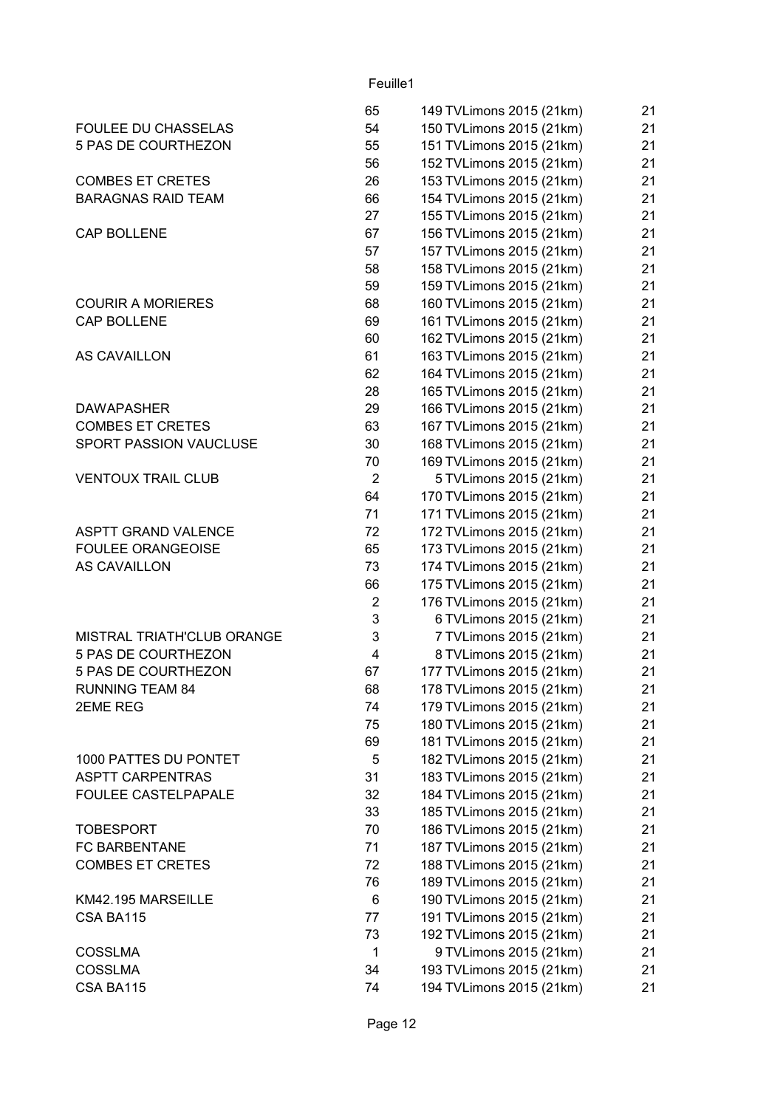|                                   | 65             | 149 TVLimons 2015 (21km) | 21 |
|-----------------------------------|----------------|--------------------------|----|
| <b>FOULEE DU CHASSELAS</b>        | 54             | 150 TVLimons 2015 (21km) | 21 |
| 5 PAS DE COURTHEZON               | 55             | 151 TVLimons 2015 (21km) | 21 |
|                                   | 56             | 152 TVLimons 2015 (21km) | 21 |
| <b>COMBES ET CRETES</b>           | 26             | 153 TVLimons 2015 (21km) | 21 |
| <b>BARAGNAS RAID TEAM</b>         | 66             | 154 TVLimons 2015 (21km) | 21 |
|                                   | 27             | 155 TVLimons 2015 (21km) | 21 |
| <b>CAP BOLLENE</b>                | 67             | 156 TVLimons 2015 (21km) | 21 |
|                                   | 57             | 157 TVLimons 2015 (21km) | 21 |
|                                   | 58             | 158 TVLimons 2015 (21km) | 21 |
|                                   | 59             | 159 TVLimons 2015 (21km) | 21 |
| <b>COURIR A MORIERES</b>          | 68             | 160 TVLimons 2015 (21km) | 21 |
| CAP BOLLENE                       | 69             | 161 TVLimons 2015 (21km) | 21 |
|                                   | 60             | 162 TVLimons 2015 (21km) | 21 |
| AS CAVAILLON                      | 61             | 163 TVLimons 2015 (21km) | 21 |
|                                   | 62             | 164 TVLimons 2015 (21km) | 21 |
|                                   | 28             | 165 TVLimons 2015 (21km) | 21 |
| <b>DAWAPASHER</b>                 | 29             | 166 TVLimons 2015 (21km) | 21 |
| <b>COMBES ET CRETES</b>           | 63             | 167 TVLimons 2015 (21km) | 21 |
| SPORT PASSION VAUCLUSE            | 30             | 168 TVLimons 2015 (21km) | 21 |
|                                   | 70             | 169 TVLimons 2015 (21km) | 21 |
|                                   | 2              |                          | 21 |
| <b>VENTOUX TRAIL CLUB</b>         | 64             | 5 TVLimons 2015 (21km)   | 21 |
|                                   |                | 170 TVLimons 2015 (21km) |    |
|                                   | 71             | 171 TVLimons 2015 (21km) | 21 |
| <b>ASPTT GRAND VALENCE</b>        | 72             | 172 TVLimons 2015 (21km) | 21 |
| <b>FOULEE ORANGEOISE</b>          | 65             | 173 TVLimons 2015 (21km) | 21 |
| <b>AS CAVAILLON</b>               | 73             | 174 TVLimons 2015 (21km) | 21 |
|                                   | 66             | 175 TVLimons 2015 (21km) | 21 |
|                                   | $\overline{2}$ | 176 TVLimons 2015 (21km) | 21 |
|                                   | 3              | 6 TVLimons 2015 (21km)   | 21 |
| <b>MISTRAL TRIATH'CLUB ORANGE</b> | 3              | 7 TVLimons 2015 (21km)   | 21 |
| 5 PAS DE COURTHEZON               | 4              | 8 TVLimons 2015 (21km)   | 21 |
| 5 PAS DE COURTHEZON               | 67             | 177 TVLimons 2015 (21km) | 21 |
| <b>RUNNING TEAM 84</b>            | 68             | 178 TVLimons 2015 (21km) | 21 |
| 2EME REG                          | 74             | 179 TVLimons 2015 (21km) | 21 |
|                                   | 75             | 180 TVLimons 2015 (21km) | 21 |
|                                   | 69             | 181 TVLimons 2015 (21km) | 21 |
| 1000 PATTES DU PONTET             | 5              | 182 TVLimons 2015 (21km) | 21 |
| <b>ASPTT CARPENTRAS</b>           | 31             | 183 TVLimons 2015 (21km) | 21 |
| FOULEE CASTELPAPALE               | 32             | 184 TVLimons 2015 (21km) | 21 |
|                                   | 33             | 185 TVLimons 2015 (21km) | 21 |
| <b>TOBESPORT</b>                  | 70             | 186 TVLimons 2015 (21km) | 21 |
| FC BARBENTANE                     | 71             | 187 TVLimons 2015 (21km) | 21 |
| <b>COMBES ET CRETES</b>           | 72             | 188 TVLimons 2015 (21km) | 21 |
|                                   | 76             | 189 TVLimons 2015 (21km) | 21 |
| KM42.195 MARSEILLE                | 6              | 190 TVLimons 2015 (21km) | 21 |
| CSA BA115                         | 77             | 191 TVLimons 2015 (21km) | 21 |
|                                   | 73             | 192 TVLimons 2015 (21km) | 21 |
| <b>COSSLMA</b>                    | 1              | 9 TVLimons 2015 (21km)   | 21 |
| <b>COSSLMA</b>                    | 34             | 193 TVLimons 2015 (21km) | 21 |
| CSA BA115                         | 74             | 194 TVLimons 2015 (21km) | 21 |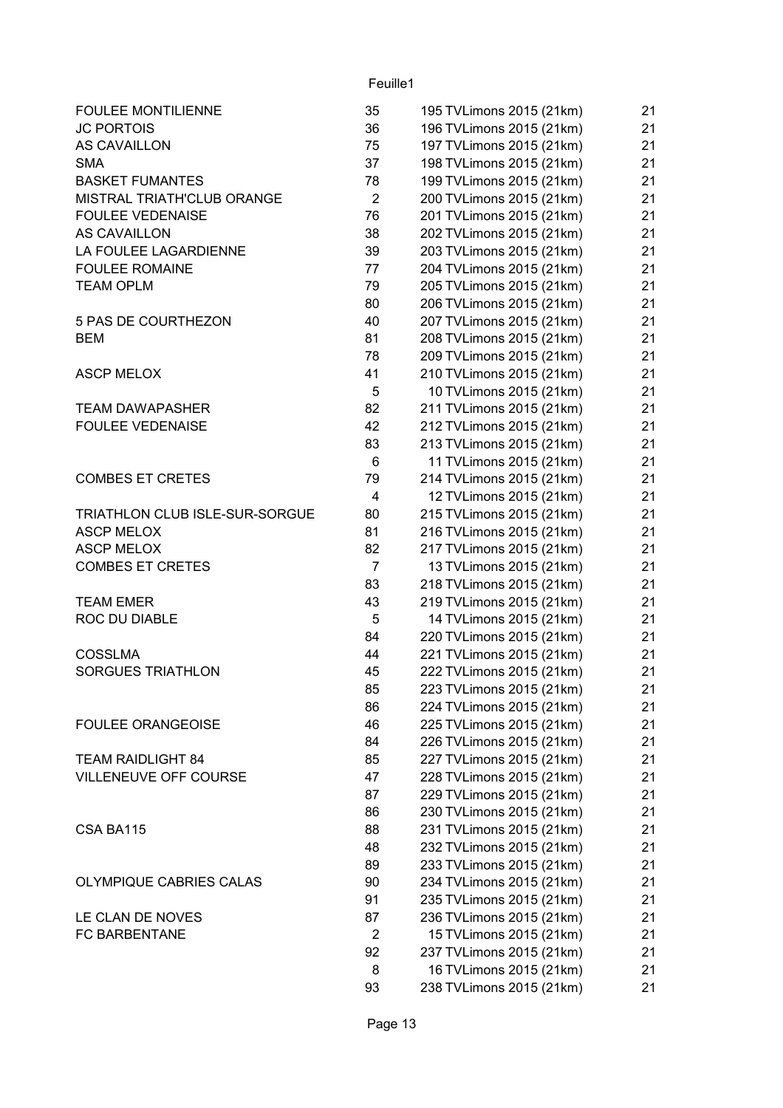| <b>FOULEE MONTILIENNE</b>      | 35             | 195 TVLimons 2015 (21km) | 21 |
|--------------------------------|----------------|--------------------------|----|
| <b>JC PORTOIS</b>              | 36             | 196 TVLimons 2015 (21km) | 21 |
| AS CAVAILLON                   | 75             | 197 TVLimons 2015 (21km) | 21 |
| <b>SMA</b>                     | 37             | 198 TVLimons 2015 (21km) | 21 |
| <b>BASKET FUMANTES</b>         | 78             | 199 TVLimons 2015 (21km) | 21 |
| MISTRAL TRIATH'CLUB ORANGE     | $\overline{2}$ | 200 TVLimons 2015 (21km) | 21 |
| <b>FOULEE VEDENAISE</b>        | 76             | 201 TVLimons 2015 (21km) | 21 |
| AS CAVAILLON                   | 38             | 202 TVLimons 2015 (21km) | 21 |
| LA FOULEE LAGARDIENNE          | 39             | 203 TVLimons 2015 (21km) | 21 |
| <b>FOULEE ROMAINE</b>          | 77             | 204 TVLimons 2015 (21km) | 21 |
| <b>TEAM OPLM</b>               | 79             | 205 TVLimons 2015 (21km) | 21 |
|                                | 80             | 206 TVLimons 2015 (21km) | 21 |
| 5 PAS DE COURTHEZON            | 40             | 207 TVLimons 2015 (21km) | 21 |
| <b>BEM</b>                     | 81             | 208 TVLimons 2015 (21km) | 21 |
|                                | 78             | 209 TVLimons 2015 (21km) | 21 |
| <b>ASCP MELOX</b>              | 41             | 210 TVLimons 2015 (21km) | 21 |
|                                | 5              | 10 TVLimons 2015 (21km)  | 21 |
| <b>TEAM DAWAPASHER</b>         | 82             | 211 TVLimons 2015 (21km) | 21 |
| <b>FOULEE VEDENAISE</b>        | 42             | 212 TVLimons 2015 (21km) | 21 |
|                                | 83             | 213 TVLimons 2015 (21km) | 21 |
|                                | 6              | 11 TVLimons 2015 (21km)  | 21 |
| <b>COMBES ET CRETES</b>        | 79             | 214 TVLimons 2015 (21km) | 21 |
|                                | 4              | 12 TVLimons 2015 (21km)  | 21 |
| TRIATHLON CLUB ISLE-SUR-SORGUE | 80             | 215 TVLimons 2015 (21km) | 21 |
| <b>ASCP MELOX</b>              | 81             | 216 TVLimons 2015 (21km) | 21 |
| <b>ASCP MELOX</b>              | 82             | 217 TVLimons 2015 (21km) | 21 |
| <b>COMBES ET CRETES</b>        | $\overline{7}$ | 13 TVLimons 2015 (21km)  | 21 |
|                                | 83             | 218 TVLimons 2015 (21km) | 21 |
| <b>TEAM EMER</b>               | 43             | 219 TVLimons 2015 (21km) | 21 |
| ROC DU DIABLE                  | 5              | 14 TVLimons 2015 (21km)  | 21 |
|                                | 84             | 220 TVLimons 2015 (21km) | 21 |
| <b>COSSLMA</b>                 | 44             | 221 TVLimons 2015 (21km) | 21 |
| <b>SORGUES TRIATHLON</b>       | 45             | 222 TVLimons 2015 (21km) | 21 |
|                                | 85             | 223 TVLimons 2015 (21km) | 21 |
|                                | 86             | 224 TVLimons 2015 (21km) | 21 |
| <b>FOULEE ORANGEOISE</b>       | 46             | 225 TVLimons 2015 (21km) | 21 |
|                                | 84             | 226 TVLimons 2015 (21km) | 21 |
| <b>TEAM RAIDLIGHT 84</b>       | 85             | 227 TVLimons 2015 (21km) | 21 |
| VILLENEUVE OFF COURSE          | 47             | 228 TVLimons 2015 (21km) | 21 |
|                                | 87             | 229 TVLimons 2015 (21km) | 21 |
|                                | 86             | 230 TVLimons 2015 (21km) | 21 |
| CSA BA115                      | 88             | 231 TVLimons 2015 (21km) | 21 |
|                                | 48             | 232 TVLimons 2015 (21km) | 21 |
|                                | 89             | 233 TVLimons 2015 (21km) | 21 |
| OLYMPIQUE CABRIES CALAS        | 90             | 234 TVLimons 2015 (21km) | 21 |
|                                | 91             | 235 TVLimons 2015 (21km) | 21 |
| LE CLAN DE NOVES               | 87             | 236 TVLimons 2015 (21km) | 21 |
| FC BARBENTANE                  | $\overline{2}$ | 15 TVLimons 2015 (21km)  | 21 |
|                                | 92             | 237 TVLimons 2015 (21km) | 21 |
|                                | 8              | 16 TVLimons 2015 (21km)  | 21 |
|                                | 93             | 238 TVLimons 2015 (21km) | 21 |
|                                |                |                          |    |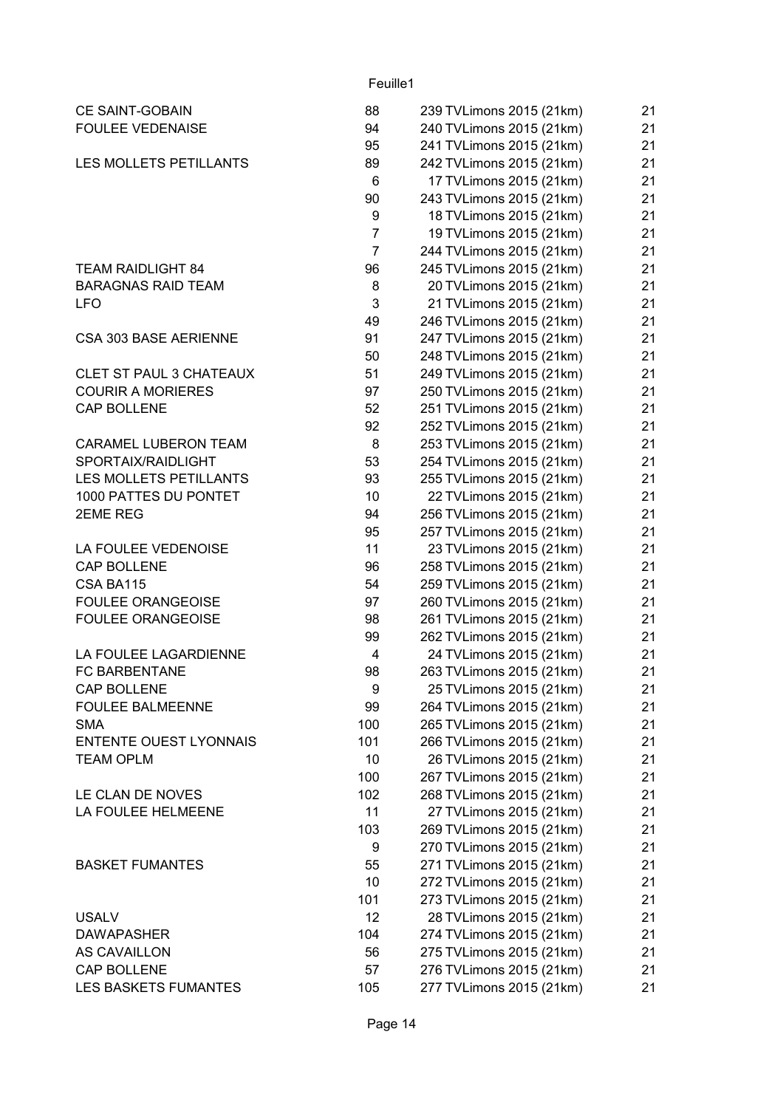| CE SAINT-GOBAIN                | 88             | 239 TVLimons 2015 (21km) | 21 |
|--------------------------------|----------------|--------------------------|----|
| <b>FOULEE VEDENAISE</b>        | 94             | 240 TVLimons 2015 (21km) | 21 |
|                                | 95             | 241 TVLimons 2015 (21km) | 21 |
| LES MOLLETS PETILLANTS         | 89             | 242 TVLimons 2015 (21km) | 21 |
|                                | 6              | 17 TVLimons 2015 (21km)  | 21 |
|                                | 90             | 243 TVLimons 2015 (21km) | 21 |
|                                | 9              | 18 TVLimons 2015 (21km)  | 21 |
|                                | $\overline{7}$ | 19 TVLimons 2015 (21km)  | 21 |
|                                | $\overline{7}$ | 244 TVLimons 2015 (21km) | 21 |
| <b>TEAM RAIDLIGHT 84</b>       | 96             | 245 TVLimons 2015 (21km) | 21 |
| <b>BARAGNAS RAID TEAM</b>      | 8              | 20 TVLimons 2015 (21km)  | 21 |
| <b>LFO</b>                     | 3              | 21 TVLimons 2015 (21km)  | 21 |
|                                | 49             | 246 TVLimons 2015 (21km) | 21 |
| CSA 303 BASE AERIENNE          | 91             | 247 TVLimons 2015 (21km) | 21 |
|                                | 50             | 248 TVLimons 2015 (21km) | 21 |
| <b>CLET ST PAUL 3 CHATEAUX</b> | 51             | 249 TVLimons 2015 (21km) | 21 |
| <b>COURIR A MORIERES</b>       | 97             | 250 TVLimons 2015 (21km) | 21 |
| <b>CAP BOLLENE</b>             | 52             | 251 TVLimons 2015 (21km) | 21 |
|                                | 92             | 252 TVLimons 2015 (21km) | 21 |
| <b>CARAMEL LUBERON TEAM</b>    | 8              | 253 TVLimons 2015 (21km) | 21 |
| SPORTAIX/RAIDLIGHT             | 53             |                          | 21 |
|                                |                | 254 TVLimons 2015 (21km) |    |
| LES MOLLETS PETILLANTS         | 93             | 255 TVLimons 2015 (21km) | 21 |
| 1000 PATTES DU PONTET          | 10             | 22 TVLimons 2015 (21km)  | 21 |
| 2EME REG                       | 94             | 256 TVLimons 2015 (21km) | 21 |
|                                | 95             | 257 TVLimons 2015 (21km) | 21 |
| LA FOULEE VEDENOISE            | 11             | 23 TVLimons 2015 (21km)  | 21 |
| <b>CAP BOLLENE</b>             | 96             | 258 TVLimons 2015 (21km) | 21 |
| CSA BA115                      | 54             | 259 TVLimons 2015 (21km) | 21 |
| <b>FOULEE ORANGEOISE</b>       | 97             | 260 TVLimons 2015 (21km) | 21 |
| <b>FOULEE ORANGEOISE</b>       | 98             | 261 TVLimons 2015 (21km) | 21 |
|                                | 99             | 262 TVLimons 2015 (21km) | 21 |
| LA FOULEE LAGARDIENNE          | 4              | 24 TVLimons 2015 (21km)  | 21 |
| <b>FC BARBENTANE</b>           | 98             | 263 TVLimons 2015 (21km) | 21 |
| CAP BOLLENE                    | 9              | 25 TVLimons 2015 (21km)  | 21 |
| <b>FOULEE BALMEENNE</b>        | 99             | 264 TVLimons 2015 (21km) | 21 |
| <b>SMA</b>                     | 100            | 265 TVLimons 2015 (21km) | 21 |
| <b>ENTENTE OUEST LYONNAIS</b>  | 101            | 266 TVLimons 2015 (21km) | 21 |
| <b>TEAM OPLM</b>               | 10             | 26 TVLimons 2015 (21km)  | 21 |
|                                | 100            | 267 TVLimons 2015 (21km) | 21 |
| LE CLAN DE NOVES               | 102            | 268 TVLimons 2015 (21km) | 21 |
| LA FOULEE HELMEENE             | 11             | 27 TVLimons 2015 (21km)  | 21 |
|                                | 103            | 269 TVLimons 2015 (21km) | 21 |
|                                | 9              | 270 TVLimons 2015 (21km) | 21 |
| <b>BASKET FUMANTES</b>         | 55             | 271 TVLimons 2015 (21km) | 21 |
|                                | 10             | 272 TVLimons 2015 (21km) | 21 |
|                                | 101            | 273 TVLimons 2015 (21km) | 21 |
| <b>USALV</b>                   | 12             | 28 TVLimons 2015 (21km)  | 21 |
| <b>DAWAPASHER</b>              | 104            | 274 TVLimons 2015 (21km) | 21 |
| AS CAVAILLON                   | 56             | 275 TVLimons 2015 (21km) | 21 |
| CAP BOLLENE                    | 57             | 276 TVLimons 2015 (21km) | 21 |
| LES BASKETS FUMANTES           | 105            | 277 TVLimons 2015 (21km) | 21 |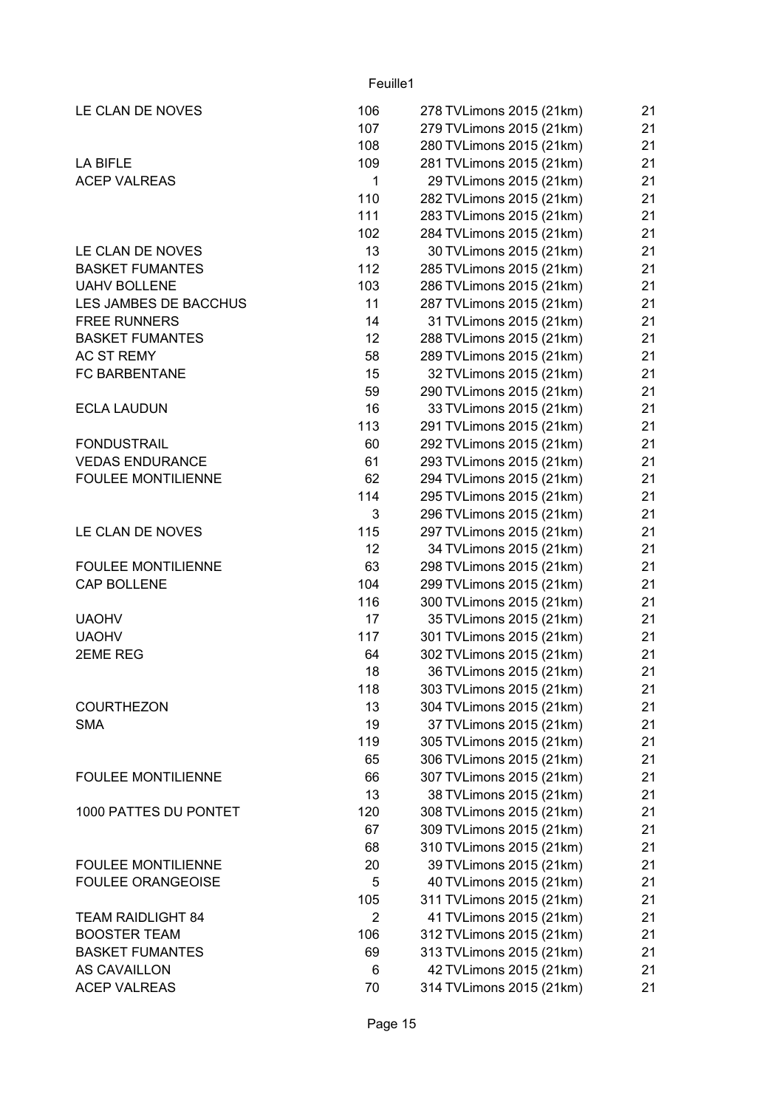| LE CLAN DE NOVES          | 106             | 278 TVLimons 2015 (21km) | 21 |
|---------------------------|-----------------|--------------------------|----|
|                           | 107             | 279 TVLimons 2015 (21km) | 21 |
|                           | 108             | 280 TVLimons 2015 (21km) | 21 |
| LA BIFLE                  | 109             | 281 TVLimons 2015 (21km) | 21 |
| <b>ACEP VALREAS</b>       | $\mathbf{1}$    | 29 TVLimons 2015 (21km)  | 21 |
|                           | 110             | 282 TVLimons 2015 (21km) | 21 |
|                           | 111             | 283 TVLimons 2015 (21km) | 21 |
|                           | 102             | 284 TVLimons 2015 (21km) | 21 |
| LE CLAN DE NOVES          | 13              | 30 TVLimons 2015 (21km)  | 21 |
| <b>BASKET FUMANTES</b>    | 112             | 285 TVLimons 2015 (21km) | 21 |
| <b>UAHV BOLLENE</b>       | 103             | 286 TVLimons 2015 (21km) | 21 |
| LES JAMBES DE BACCHUS     | 11              | 287 TVLimons 2015 (21km) | 21 |
| <b>FREE RUNNERS</b>       | 14              | 31 TVLimons 2015 (21km)  | 21 |
| <b>BASKET FUMANTES</b>    | 12 <sub>2</sub> | 288 TVLimons 2015 (21km) | 21 |
| AC ST REMY                | 58              | 289 TVLimons 2015 (21km) | 21 |
| <b>FC BARBENTANE</b>      | 15              | 32 TVLimons 2015 (21km)  | 21 |
|                           | 59              | 290 TVLimons 2015 (21km) | 21 |
| <b>ECLA LAUDUN</b>        | 16              | 33 TVLimons 2015 (21km)  | 21 |
|                           | 113             | 291 TVLimons 2015 (21km) | 21 |
| <b>FONDUSTRAIL</b>        | 60              | 292 TVLimons 2015 (21km) | 21 |
| <b>VEDAS ENDURANCE</b>    | 61              | 293 TVLimons 2015 (21km) | 21 |
| <b>FOULEE MONTILIENNE</b> | 62              | 294 TVLimons 2015 (21km) | 21 |
|                           | 114             | 295 TVLimons 2015 (21km) | 21 |
|                           | 3               | 296 TVLimons 2015 (21km) | 21 |
| LE CLAN DE NOVES          | 115             | 297 TVLimons 2015 (21km) | 21 |
|                           | 12              | 34 TVLimons 2015 (21km)  | 21 |
| <b>FOULEE MONTILIENNE</b> | 63              | 298 TVLimons 2015 (21km) | 21 |
| <b>CAP BOLLENE</b>        | 104             | 299 TVLimons 2015 (21km) | 21 |
|                           | 116             | 300 TVLimons 2015 (21km) | 21 |
| <b>UAOHV</b>              | 17              | 35 TVLimons 2015 (21km)  | 21 |
| <b>UAOHV</b>              | 117             | 301 TVLimons 2015 (21km) | 21 |
| 2EME REG                  | 64              | 302 TVLimons 2015 (21km) | 21 |
|                           | 18              | 36 TVLimons 2015 (21km)  | 21 |
|                           | 118             | 303 TVLimons 2015 (21km) | 21 |
| <b>COURTHEZON</b>         | 13              | 304 TVLimons 2015 (21km) | 21 |
| <b>SMA</b>                | 19              | 37 TVLimons 2015 (21km)  | 21 |
|                           | 119             | 305 TVLimons 2015 (21km) | 21 |
|                           | 65              | 306 TVLimons 2015 (21km) | 21 |
| <b>FOULEE MONTILIENNE</b> | 66              | 307 TVLimons 2015 (21km) | 21 |
|                           | 13              | 38 TVLimons 2015 (21km)  | 21 |
| 1000 PATTES DU PONTET     | 120             | 308 TVLimons 2015 (21km) | 21 |
|                           | 67              | 309 TVLimons 2015 (21km) | 21 |
|                           | 68              | 310 TVLimons 2015 (21km) | 21 |
| <b>FOULEE MONTILIENNE</b> | 20              | 39 TVLimons 2015 (21km)  | 21 |
| <b>FOULEE ORANGEOISE</b>  | 5               | 40 TVLimons 2015 (21km)  | 21 |
|                           | 105             | 311 TVLimons 2015 (21km) | 21 |
| <b>TEAM RAIDLIGHT 84</b>  | $\overline{2}$  | 41 TVLimons 2015 (21km)  | 21 |
| <b>BOOSTER TEAM</b>       | 106             | 312 TVLimons 2015 (21km) | 21 |
| <b>BASKET FUMANTES</b>    | 69              | 313 TVLimons 2015 (21km) | 21 |
| AS CAVAILLON              | 6               | 42 TVLimons 2015 (21km)  | 21 |
| <b>ACEP VALREAS</b>       | 70              | 314 TVLimons 2015 (21km) | 21 |
|                           |                 |                          |    |